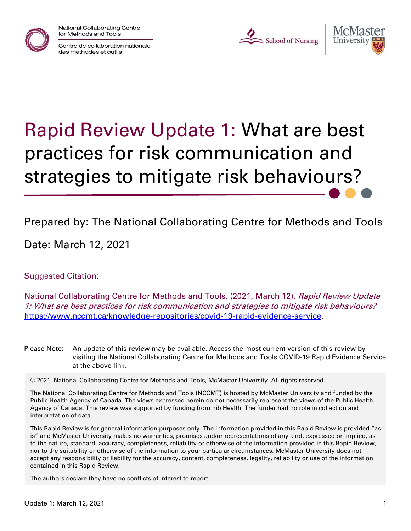

National Collaborating Centre for Methods and Tools

Centre de collaboration nationale des méthodes et outils

L School of Nursing



# Rapid Review Update 1: What are best practices for risk communication and strategies to mitigate risk behaviours?

# Prepared by: The National Collaborating Centre for Methods and Tools

Date: March 12, 2021

#### Suggested Citation:

National Collaborating Centre for Methods and Tools. (2021, March 12). Rapid Review Update 1: What are best practices for risk communication and strategies to mitigate risk behaviours? [https://www.nccmt.ca/knowledge-repositories/covid-19-rapid-evidence-service.](https://www.nccmt.ca/knowledge-repositories/covid-19-rapid-evidence-service)

Please Note: An update of this review may be available. Access the most current version of this review by visiting the National Collaborating Centre for Methods and Tools COVID-19 Rapid Evidence Service at the above link.

© 2021. National Collaborating Centre for Methods and Tools, McMaster University. All rights reserved.

The National Collaborating Centre for Methods and Tools (NCCMT) is hosted by McMaster University and funded by the Public Health Agency of Canada. The views expressed herein do not necessarily represent the views of the Public Health Agency of Canada. This review was supported by funding from nib Health. The funder had no role in collection and interpretation of data.

This Rapid Review is for general information purposes only. The information provided in this Rapid Review is provided "as is" and McMaster University makes no warranties, promises and/or representations of any kind, expressed or implied, as to the nature, standard, accuracy, completeness, reliability or otherwise of the information provided in this Rapid Review, nor to the suitability or otherwise of the information to your particular circumstances. McMaster University does not accept any responsibility or liability for the accuracy, content, completeness, legality, reliability or use of the information contained in this Rapid Review.

The authors declare they have no conflicts of interest to report.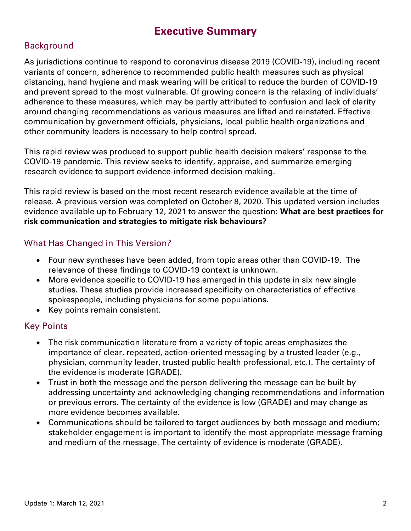## **Executive Summary**

#### **Background**

As jurisdictions continue to respond to coronavirus disease 2019 (COVID-19), including recent variants of concern, adherence to recommended public health measures such as physical distancing, hand hygiene and mask wearing will be critical to reduce the burden of COVID-19 and prevent spread to the most vulnerable. Of growing concern is the relaxing of individuals' adherence to these measures, which may be partly attributed to confusion and lack of clarity around changing recommendations as various measures are lifted and reinstated. Effective communication by government officials, physicians, local public health organizations and other community leaders is necessary to help control spread.

This rapid review was produced to support public health decision makers' response to the COVID-19 pandemic. This review seeks to identify, appraise, and summarize emerging research evidence to support evidence-informed decision making.

This rapid review is based on the most recent research evidence available at the time of release. A previous version was completed on October 8, 2020. This updated version includes evidence available up to February 12, 2021 to answer the question: **What are best practices for risk communication and strategies to mitigate risk behaviours?**

#### What Has Changed in This Version?

- Four new syntheses have been added, from topic areas other than COVID-19. The relevance of these findings to COVID-19 context is unknown.
- More evidence specific to COVID-19 has emerged in this update in six new single studies. These studies provide increased specificity on characteristics of effective spokespeople, including physicians for some populations.
- Key points remain consistent.

#### Key Points

- The risk communication literature from a variety of topic areas emphasizes the importance of clear, repeated, action-oriented messaging by a trusted leader (e.g., physician, community leader, trusted public health professional, etc.). The certainty of the evidence is moderate (GRADE).
- Trust in both the message and the person delivering the message can be built by addressing uncertainty and acknowledging changing recommendations and information or previous errors. The certainty of the evidence is low (GRADE) and may change as more evidence becomes available.
- Communications should be tailored to target audiences by both message and medium; stakeholder engagement is important to identify the most appropriate message framing and medium of the message. The certainty of evidence is moderate (GRADE).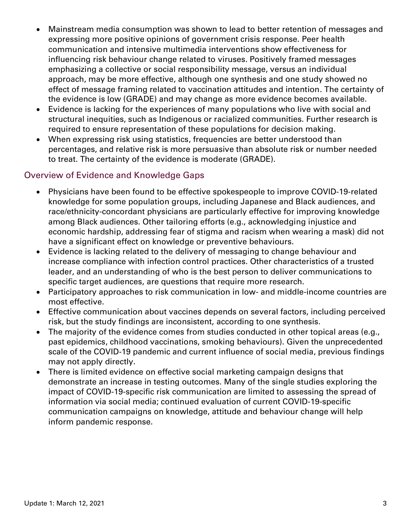- Mainstream media consumption was shown to lead to better retention of messages and expressing more positive opinions of government crisis response. Peer health communication and intensive multimedia interventions show effectiveness for influencing risk behaviour change related to viruses. Positively framed messages emphasizing a collective or social responsibility message, versus an individual approach, may be more effective, although one synthesis and one study showed no effect of message framing related to vaccination attitudes and intention. The certainty of the evidence is low (GRADE) and may change as more evidence becomes available.
- Evidence is lacking for the experiences of many populations who live with social and structural inequities, such as Indigenous or racialized communities. Further research is required to ensure representation of these populations for decision making.
- When expressing risk using statistics, frequencies are better understood than percentages, and relative risk is more persuasive than absolute risk or number needed to treat. The certainty of the evidence is moderate (GRADE).

#### Overview of Evidence and Knowledge Gaps

- Physicians have been found to be effective spokespeople to improve COVID-19-related knowledge for some population groups, including Japanese and Black audiences, and race/ethnicity-concordant physicians are particularly effective for improving knowledge among Black audiences. Other tailoring efforts (e.g., acknowledging injustice and economic hardship, addressing fear of stigma and racism when wearing a mask) did not have a significant effect on knowledge or preventive behaviours.
- Evidence is lacking related to the delivery of messaging to change behaviour and increase compliance with infection control practices. Other characteristics of a trusted leader, and an understanding of who is the best person to deliver communications to specific target audiences, are questions that require more research.
- Participatory approaches to risk communication in low- and middle-income countries are most effective.
- Effective communication about vaccines depends on several factors, including perceived risk, but the study findings are inconsistent, according to one synthesis.
- The majority of the evidence comes from studies conducted in other topical areas (e.g., past epidemics, childhood vaccinations, smoking behaviours). Given the unprecedented scale of the COVID-19 pandemic and current influence of social media, previous findings may not apply directly.
- There is limited evidence on effective social marketing campaign designs that demonstrate an increase in testing outcomes. Many of the single studies exploring the impact of COVID-19-specific risk communication are limited to assessing the spread of information via social media; continued evaluation of current COVID-19-specific communication campaigns on knowledge, attitude and behaviour change will help inform pandemic response.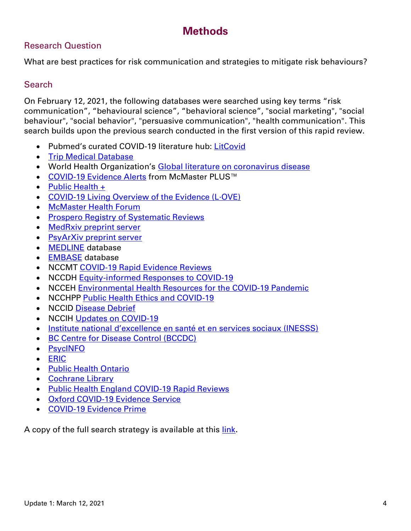## **Methods**

#### Research Question

What are best practices for risk communication and strategies to mitigate risk behaviours?

#### **Search**

On February 12, 2021, the following databases were searched using key terms "risk communication", "behavioural science", "behavioral science", "social marketing", "social behaviour", "social behavior", "persuasive communication", "health communication". This search builds upon the previous search conducted in the first version of this rapid review.

- Pubmed's curated COVID-19 literature hub: [LitCovid](https://www.ncbi.nlm.nih.gov/research/coronavirus/)
- [Trip Medical Database](https://www.tripdatabase.com/)
- World Health Organization's [Global literature on coronavirus disease](https://search.bvsalud.org/global-literature-on-novel-coronavirus-2019-ncov/)
- [COVID-19 Evidence Alerts](https://plus.mcmaster.ca/COVID-19/Home) from McMaster PLUS™
- [Public Health +](https://www.nccmt.ca/knowledge-repositories/public-health-plus)
- [COVID-19 Living Overview of the Evidence \(L·OVE\)](https://app.iloveevidence.com/loves/5e6fdb9669c00e4ac072701d)
- [McMaster Health Forum](https://app.iloveevidence.com/loves/5e6fdb9669c00e4ac072701d)
- [Prospero Registry of Systematic Reviews](https://www.crd.york.ac.uk/prospero/display_record.php?RecordID=193751)
- [MedRxiv preprint server](https://www.medrxiv.org/)
- [PsyArXiv preprint server](https://psyarxiv.com/)
- **[MEDLINE](https://ovidsp-dc2-ovid-com.libaccess.lib.mcmaster.ca/ovid-b/ovidweb.cgi?QS2=434f4e1a73d37e8cb17da02d43bbd96c913d9677779d3d4c9e76539291110db408e9df2b1d5d0bb35a947271164fefea86973975f6c2053916c96cfb4f3396c5159608299fc1fe584128a8ecee5fbb8ec417471cd1b2ea45b80582847c98beafd55ca55bdc76ec61404704b4ad749f7b6aa344944bd959ca0970dddb3de9a9d332954b43b8bb86982d9645f59e0f9edfcac239f4337f6498836b745c8d6a99153c095a60fe6e36faa3636cbc5d51c9516a30023c7d53a4ae)** database
- [EMBASE](https://www.embase.com/login) database
- NCCMT [COVID-19 Rapid Evidence Reviews](https://www.nccmt.ca/knowledge-repositories/covid-19-evidence-reviews)
- NCCDH [Equity-informed Responses to COVID-19](http://nccdh.ca/our-work/covid-19)
- NCCEH [Environmental Health Resources for the COVID-19 Pandemic](https://ncceh.ca/environmental-health-in-canada/health-agency-projects/environmental-health-resources-covid-19)
- NCCHPP [Public Health Ethics and COVID-19](https://www.nccih.ca/485/NCCIH_in_the_News.nccih?id=450)
- NCCID [Disease Debrief](https://nccid.ca/2019-novel-coronavirus-outbreak/)
- NCCIH [Updates on COVID-19](https://www.nccih.ca/485/NCCIH_in_the_News.nccih?id=450)
- [Institute national d'excellence en santé et en services sociaux \(INESSS\)](https://www.inesss.qc.ca/covid-19/services-sociaux.html)
- **[BC Centre for Disease Control \(BCCDC\)](http://covid-19.bccdc.ca/)**
- [PsycINFO](https://search.proquest.com/psycinfo/advanced)
- [ERIC](https://eric.ed.gov/)
- [Public Health Ontario](https://www.publichealthontario.ca/)
- [Cochrane Library](https://www.cochranelibrary.com/)
- [Public Health England COVID-19 Rapid Reviews](https://phelibrary.koha-ptfs.co.uk/covid19rapidreviews/)
- [Oxford COVID-19 Evidence Service](https://www.cebm.net/oxford-covid-19-evidence-service/)
- [COVID-19 Evidence Prime](https://covid19.evidenceprime.ca/)

A copy of the full search strategy is available at this [link](https://www.nccmt.ca/uploads/media/media/0001/02/36020c7a101723aa4b2aeb3b04da4290a96d2d77.pdf).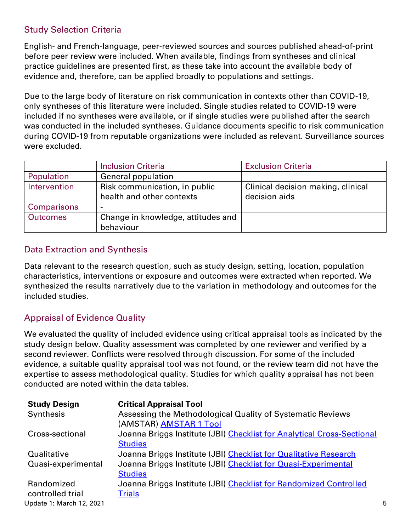#### Study Selection Criteria

English- and French-language, peer-reviewed sources and sources published ahead-of-print before peer review were included. When available, findings from syntheses and clinical practice guidelines are presented first, as these take into account the available body of evidence and, therefore, can be applied broadly to populations and settings.

Due to the large body of literature on risk communication in contexts other than COVID-19, only syntheses of this literature were included. Single studies related to COVID-19 were included if no syntheses were available, or if single studies were published after the search was conducted in the included syntheses. Guidance documents specific to risk communication during COVID-19 from reputable organizations were included as relevant. Surveillance sources were excluded.

|                    | <b>Inclusion Criteria</b>          | <b>Exclusion Criteria</b>          |
|--------------------|------------------------------------|------------------------------------|
| Population         | <b>General population</b>          |                                    |
| Intervention       | Risk communication, in public      | Clinical decision making, clinical |
|                    | health and other contexts          | decision aids                      |
| <b>Comparisons</b> |                                    |                                    |
| <b>Outcomes</b>    | Change in knowledge, attitudes and |                                    |
|                    | behaviour                          |                                    |

#### Data Extraction and Synthesis

Data relevant to the research question, such as study design, setting, location, population characteristics, interventions or exposure and outcomes were extracted when reported. We synthesized the results narratively due to the variation in methodology and outcomes for the included studies.

#### Appraisal of Evidence Quality

We evaluated the quality of included evidence using critical appraisal tools as indicated by the study design below. Quality assessment was completed by one reviewer and verified by a second reviewer. Conflicts were resolved through discussion. For some of the included evidence, a suitable quality appraisal tool was not found, or the review team did not have the expertise to assess methodological quality. Studies for which quality appraisal has not been conducted are noted within the data tables.

| <b>Study Design</b>      | <b>Critical Appraisal Tool</b>                                         |   |
|--------------------------|------------------------------------------------------------------------|---|
| Synthesis                | Assessing the Methodological Quality of Systematic Reviews             |   |
|                          | (AMSTAR) AMSTAR 1 Tool                                                 |   |
| Cross-sectional          | Joanna Briggs Institute (JBI) Checklist for Analytical Cross-Sectional |   |
|                          | <b>Studies</b>                                                         |   |
| Qualitative              | Joanna Briggs Institute (JBI) Checklist for Qualitative Research       |   |
| Quasi-experimental       | Joanna Briggs Institute (JBI) Checklist for Quasi-Experimental         |   |
|                          | <b>Studies</b>                                                         |   |
| Randomized               | Joanna Briggs Institute (JBI) Checklist for Randomized Controlled      |   |
| controlled trial         | <b>Trials</b>                                                          |   |
| Update 1: March 12, 2021 |                                                                        | 5 |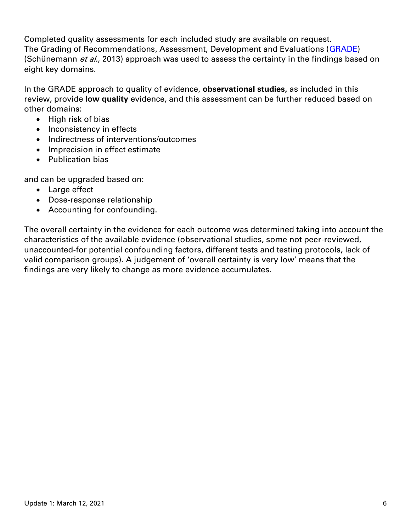Completed quality assessments for each included study are available on request. The Grading of Recommendations, Assessment, Development and Evaluations [\(GRADE\)](https://gdt.gradepro.org/app/handbook/handbook.html) (Schünemann et al., 2013) approach was used to assess the certainty in the findings based on eight key domains.

In the GRADE approach to quality of evidence, **observational studies,** as included in this review, provide **low quality** evidence, and this assessment can be further reduced based on other domains:

- High risk of bias
- Inconsistency in effects
- Indirectness of interventions/outcomes
- Imprecision in effect estimate
- Publication bias

and can be upgraded based on:

- Large effect
- Dose-response relationship
- Accounting for confounding.

The overall certainty in the evidence for each outcome was determined taking into account the characteristics of the available evidence (observational studies, some not peer-reviewed, unaccounted-for potential confounding factors, different tests and testing protocols, lack of valid comparison groups). A judgement of 'overall certainty is very low' means that the findings are very likely to change as more evidence accumulates.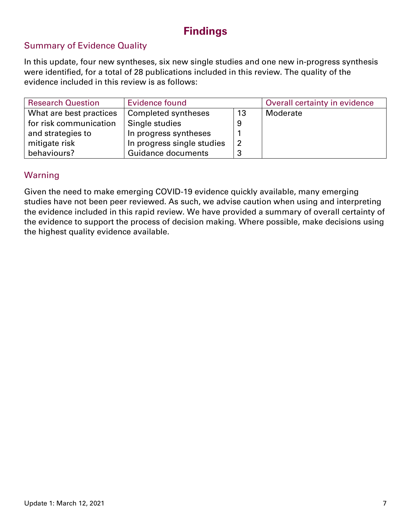# **Findings**

#### Summary of Evidence Quality

In this update, four new syntheses, six new single studies and one new in-progress synthesis were identified, for a total of 28 publications included in this review. The quality of the evidence included in this review is as follows:

| <b>Research Question</b> | Evidence found             |                | Overall certainty in evidence |
|--------------------------|----------------------------|----------------|-------------------------------|
| What are best practices  | Completed syntheses        | 13             | Moderate                      |
| for risk communication   | Single studies             | 9              |                               |
| and strategies to        | In progress syntheses      |                |                               |
| mitigate risk            | In progress single studies | $\overline{2}$ |                               |
| behaviours?              | <b>Guidance documents</b>  | 3              |                               |

#### Warning

Given the need to make emerging COVID-19 evidence quickly available, many emerging studies have not been peer reviewed. As such, we advise caution when using and interpreting the evidence included in this rapid review. We have provided a summary of overall certainty of the evidence to support the process of decision making. Where possible, make decisions using the highest quality evidence available.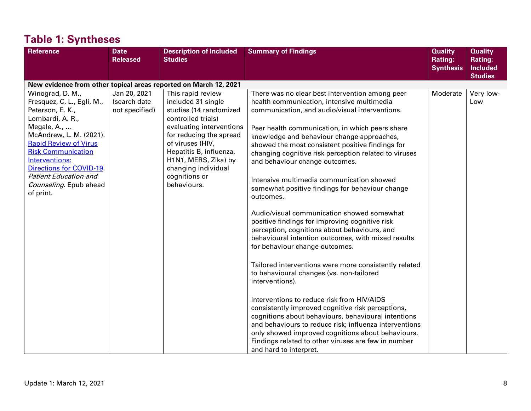| <b>Reference</b>                                                                                                                                                                                                                                                                                                  | <b>Date</b><br><b>Released</b>                 | <b>Description of Included</b><br><b>Studies</b>                                                                                                                                                                                                                             | <b>Summary of Findings</b>                                                                                                                                                                                                                                                                                                                                                                                                                                                                                                                                                                                                                                                                                                                                                                                                                                                                                                                                                                                                                                                                                                                                                                                                             | <b>Quality</b><br><b>Rating:</b><br><b>Synthesis</b> | <b>Quality</b><br><b>Rating:</b><br><b>Included</b><br><b>Studies</b> |
|-------------------------------------------------------------------------------------------------------------------------------------------------------------------------------------------------------------------------------------------------------------------------------------------------------------------|------------------------------------------------|------------------------------------------------------------------------------------------------------------------------------------------------------------------------------------------------------------------------------------------------------------------------------|----------------------------------------------------------------------------------------------------------------------------------------------------------------------------------------------------------------------------------------------------------------------------------------------------------------------------------------------------------------------------------------------------------------------------------------------------------------------------------------------------------------------------------------------------------------------------------------------------------------------------------------------------------------------------------------------------------------------------------------------------------------------------------------------------------------------------------------------------------------------------------------------------------------------------------------------------------------------------------------------------------------------------------------------------------------------------------------------------------------------------------------------------------------------------------------------------------------------------------------|------------------------------------------------------|-----------------------------------------------------------------------|
| New evidence from other topical areas reported on March 12, 2021                                                                                                                                                                                                                                                  |                                                |                                                                                                                                                                                                                                                                              |                                                                                                                                                                                                                                                                                                                                                                                                                                                                                                                                                                                                                                                                                                                                                                                                                                                                                                                                                                                                                                                                                                                                                                                                                                        |                                                      |                                                                       |
| Winograd, D. M.,<br>Fresquez, C. L., Egli, M.,<br>Peterson, E. K.,<br>Lombardi, A. R.,<br>Megale, A.,<br>McAndrew, L. M. (2021).<br><b>Rapid Review of Virus</b><br><b>Risk Communication</b><br>Interventions:<br>Directions for COVID-19<br><b>Patient Education and</b><br>Counseling. Epub ahead<br>of print. | Jan 20, 2021<br>(search date<br>not specified) | This rapid review<br>included 31 single<br>studies (14 randomized<br>controlled trials)<br>evaluating interventions<br>for reducing the spread<br>of viruses (HIV,<br>Hepatitis B, influenza,<br>H1N1, MERS, Zika) by<br>changing individual<br>cognitions or<br>behaviours. | There was no clear best intervention among peer<br>health communication, intensive multimedia<br>communication, and audio/visual interventions.<br>Peer health communication, in which peers share<br>knowledge and behaviour change approaches,<br>showed the most consistent positive findings for<br>changing cognitive risk perception related to viruses<br>and behaviour change outcomes.<br>Intensive multimedia communication showed<br>somewhat positive findings for behaviour change<br>outcomes.<br>Audio/visual communication showed somewhat<br>positive findings for improving cognitive risk<br>perception, cognitions about behaviours, and<br>behavioural intention outcomes, with mixed results<br>for behaviour change outcomes.<br>Tailored interventions were more consistently related<br>to behavioural changes (vs. non-tailored<br>interventions).<br>Interventions to reduce risk from HIV/AIDS<br>consistently improved cognitive risk perceptions,<br>cognitions about behaviours, behavioural intentions<br>and behaviours to reduce risk; influenza interventions<br>only showed improved cognitions about behaviours.<br>Findings related to other viruses are few in number<br>and hard to interpret. | Moderate                                             | Very low-<br>Low                                                      |

# **Table 1: Syntheses**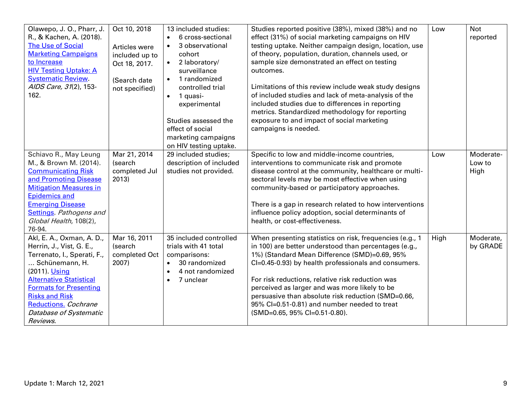| Olawepo, J. O., Pharr, J.<br>R., & Kachen, A. (2018).<br><b>The Use of Social</b><br><b>Marketing Campaigns</b><br>to Increase<br><b>HIV Testing Uptake: A</b><br><b>Systematic Review.</b><br>AIDS Care, 31(2), 153-<br>162.                                                     | Oct 10, 2018<br>Articles were<br>included up to<br>Oct 18, 2017.<br>(Search date<br>not specified) | 13 included studies:<br>6 cross-sectional<br>$\bullet$<br>3 observational<br>$\bullet$<br>cohort<br>2 laboratory/<br>$\bullet$<br>surveillance<br>1 randomized<br>$\bullet$<br>controlled trial<br>1 quasi-<br>$\bullet$<br>experimental<br>Studies assessed the<br>effect of social<br>marketing campaigns<br>on HIV testing uptake. | Studies reported positive (38%), mixed (38%) and no<br>effect (31%) of social marketing campaigns on HIV<br>testing uptake. Neither campaign design, location, use<br>of theory, population, duration, channels used, or<br>sample size demonstrated an effect on testing<br>outcomes.<br>Limitations of this review include weak study designs<br>of included studies and lack of meta-analysis of the<br>included studies due to differences in reporting<br>metrics. Standardized methodology for reporting<br>exposure to and impact of social marketing<br>campaigns is needed. | Low  | <b>Not</b><br>reported      |
|-----------------------------------------------------------------------------------------------------------------------------------------------------------------------------------------------------------------------------------------------------------------------------------|----------------------------------------------------------------------------------------------------|---------------------------------------------------------------------------------------------------------------------------------------------------------------------------------------------------------------------------------------------------------------------------------------------------------------------------------------|--------------------------------------------------------------------------------------------------------------------------------------------------------------------------------------------------------------------------------------------------------------------------------------------------------------------------------------------------------------------------------------------------------------------------------------------------------------------------------------------------------------------------------------------------------------------------------------|------|-----------------------------|
| Schiavo R., May Leung<br>M., & Brown M. (2014).<br><b>Communicating Risk</b><br>and Promoting Disease<br><b>Mitigation Measures in</b><br><b>Epidemics and</b><br><b>Emerging Disease</b><br><b>Settings</b> . Pathogens and<br>Global Health, 108(2),<br>76-94.                  | Mar 21, 2014<br>(search<br>completed Jul<br>2013)                                                  | 29 included studies;<br>description of included<br>studies not provided.                                                                                                                                                                                                                                                              | Specific to low and middle-income countries,<br>interventions to communicate risk and promote<br>disease control at the community, healthcare or multi-<br>sectoral levels may be most effective when using<br>community-based or participatory approaches.<br>There is a gap in research related to how interventions<br>influence policy adoption, social determinants of<br>health, or cost-effectiveness.                                                                                                                                                                        | Low  | Moderate-<br>Low to<br>High |
| Akl, E. A., Oxman, A. D.,<br>Herrin, J., Vist, G. E.,<br>Terrenato, I., Sperati, F.,<br>Schünemann, H.<br>(2011). Using<br><b>Alternative Statistical</b><br><b>Formats for Presenting</b><br><b>Risks and Risk</b><br>Reductions. Cochrane<br>Database of Systematic<br>Reviews. | Mar 16, 2011<br>(search<br>completed Oct<br>2007)                                                  | 35 included controlled<br>trials with 41 total<br>comparisons:<br>30 randomized<br>$\bullet$<br>4 not randomized<br>$\bullet$<br>7 unclear<br>$\bullet$                                                                                                                                                                               | When presenting statistics on risk, frequencies (e.g., 1<br>in 100) are better understood than percentages (e.g.,<br>1%) (Standard Mean Difference (SMD)=0.69, 95%<br>Cl=0.45-0.93) by health professionals and consumers.<br>For risk reductions, relative risk reduction was<br>perceived as larger and was more likely to be<br>persuasive than absolute risk reduction (SMD=0.66,<br>95% CI=0.51-0.81) and number needed to treat<br>(SMD=0.65, 95% CI=0.51-0.80).                                                                                                               | High | Moderate,<br>by GRADE       |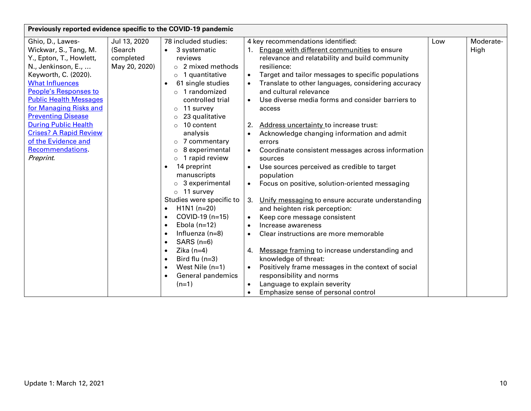| Previously reported evidence specific to the COVID-19 pandemic |               |                                |                                                                 |     |           |  |
|----------------------------------------------------------------|---------------|--------------------------------|-----------------------------------------------------------------|-----|-----------|--|
| Ghio, D., Lawes-                                               | Jul 13, 2020  | 78 included studies:           | 4 key recommendations identified:                               | Low | Moderate- |  |
| Wickwar, S., Tang, M.                                          | (Search       | 3 systematic<br>$\bullet$      | Engage with different communities to ensure<br>1.               |     | High      |  |
| Y., Epton, T., Howlett,                                        | completed     | reviews                        | relevance and relatability and build community                  |     |           |  |
| N., Jenkinson, E.,                                             | May 20, 2020) | $\circ$ 2 mixed methods        | resilience:                                                     |     |           |  |
| Keyworth, C. (2020).                                           |               | $\circ$ 1 quantitative         | Target and tailor messages to specific populations<br>$\bullet$ |     |           |  |
| <b>What Influences</b>                                         |               | 61 single studies<br>$\bullet$ | Translate to other languages, considering accuracy              |     |           |  |
| People's Responses to                                          |               | $\circ$ 1 randomized           | and cultural relevance                                          |     |           |  |
| <b>Public Health Messages</b>                                  |               | controlled trial               | Use diverse media forms and consider barriers to                |     |           |  |
| for Managing Risks and                                         |               | 11 survey<br>$\circ$           | access                                                          |     |           |  |
| <b>Preventing Disease</b>                                      |               | 23 qualitative<br>$\circ$      |                                                                 |     |           |  |
| <b>During Public Health</b>                                    |               | 10 content<br>$\circ$          | Address uncertainty to increase trust:<br>2.                    |     |           |  |
| <b>Crises? A Rapid Review</b>                                  |               | analysis                       | Acknowledge changing information and admit                      |     |           |  |
| of the Evidence and                                            |               | 7 commentary<br>$\circ$        | errors                                                          |     |           |  |
| Recommendations.                                               |               | 8 experimental<br>$\circ$      | Coordinate consistent messages across information               |     |           |  |
| Preprint.                                                      |               | 1 rapid review<br>$\circ$      | sources                                                         |     |           |  |
|                                                                |               | 14 preprint<br>$\bullet$       | Use sources perceived as credible to target<br>$\bullet$        |     |           |  |
|                                                                |               | manuscripts                    | population                                                      |     |           |  |
|                                                                |               | 3 experimental<br>$\circ$      | Focus on positive, solution-oriented messaging                  |     |           |  |
|                                                                |               | 11 survey<br>$\circ$           |                                                                 |     |           |  |
|                                                                |               | Studies were specific to       | Unify messaging to ensure accurate understanding<br>3.          |     |           |  |
|                                                                |               | $H1N1(n=20)$<br>$\bullet$      | and heighten risk perception:                                   |     |           |  |
|                                                                |               | COVID-19 (n=15)<br>$\bullet$   | Keep core message consistent                                    |     |           |  |
|                                                                |               | Ebola $(n=12)$<br>$\bullet$    | Increase awareness<br>$\bullet$                                 |     |           |  |
|                                                                |               | Influenza $(n=8)$              | Clear instructions are more memorable<br>$\bullet$              |     |           |  |
|                                                                |               | $SARS$ (n=6)<br>$\bullet$      |                                                                 |     |           |  |
|                                                                |               | Zika $(n=4)$                   | Message framing to increase understanding and<br>4.             |     |           |  |
|                                                                |               | Bird flu $(n=3)$<br>$\bullet$  | knowledge of threat:                                            |     |           |  |
|                                                                |               | West Nile $(n=1)$<br>$\bullet$ | Positively frame messages in the context of social              |     |           |  |
|                                                                |               | General pandemics              | responsibility and norms                                        |     |           |  |
|                                                                |               | $(n=1)$                        | Language to explain severity                                    |     |           |  |
|                                                                |               |                                | Emphasize sense of personal control                             |     |           |  |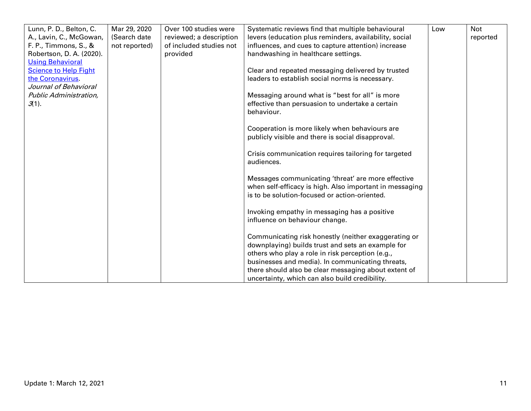| Lunn, P. D., Belton, C.      | Mar 29, 2020  | Over 100 studies were   | Systematic reviews find that multiple behavioural                  | Low | <b>Not</b> |
|------------------------------|---------------|-------------------------|--------------------------------------------------------------------|-----|------------|
| A., Lavin, C., McGowan,      | (Search date  | reviewed; a description | levers (education plus reminders, availability, social             |     | reported   |
| F. P., Timmons, S., &        | not reported) | of included studies not | influences, and cues to capture attention) increase                |     |            |
| Robertson, D. A. (2020).     |               | provided                | handwashing in healthcare settings.                                |     |            |
| <b>Using Behavioral</b>      |               |                         |                                                                    |     |            |
| <b>Science to Help Fight</b> |               |                         | Clear and repeated messaging delivered by trusted                  |     |            |
| the Coronavirus.             |               |                         | leaders to establish social norms is necessary.                    |     |            |
| Journal of Behavioral        |               |                         |                                                                    |     |            |
| Public Administration,       |               |                         | Messaging around what is "best for all" is more                    |     |            |
| $3(1)$ .                     |               |                         | effective than persuasion to undertake a certain                   |     |            |
|                              |               |                         | behaviour.                                                         |     |            |
|                              |               |                         |                                                                    |     |            |
|                              |               |                         | Cooperation is more likely when behaviours are                     |     |            |
|                              |               |                         | publicly visible and there is social disapproval.                  |     |            |
|                              |               |                         |                                                                    |     |            |
|                              |               |                         | Crisis communication requires tailoring for targeted<br>audiences. |     |            |
|                              |               |                         |                                                                    |     |            |
|                              |               |                         | Messages communicating 'threat' are more effective                 |     |            |
|                              |               |                         | when self-efficacy is high. Also important in messaging            |     |            |
|                              |               |                         | is to be solution-focused or action-oriented.                      |     |            |
|                              |               |                         |                                                                    |     |            |
|                              |               |                         | Invoking empathy in messaging has a positive                       |     |            |
|                              |               |                         | influence on behaviour change.                                     |     |            |
|                              |               |                         |                                                                    |     |            |
|                              |               |                         | Communicating risk honestly (neither exaggerating or               |     |            |
|                              |               |                         | downplaying) builds trust and sets an example for                  |     |            |
|                              |               |                         | others who play a role in risk perception (e.g.,                   |     |            |
|                              |               |                         | businesses and media). In communicating threats,                   |     |            |
|                              |               |                         | there should also be clear messaging about extent of               |     |            |
|                              |               |                         | uncertainty, which can also build credibility.                     |     |            |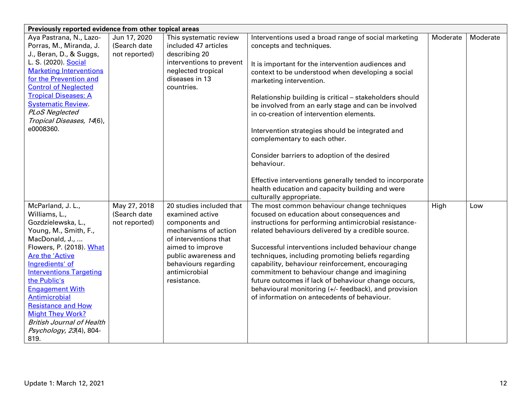| Previously reported evidence from other topical areas |               |                                        |                                                                                                             |          |          |  |  |
|-------------------------------------------------------|---------------|----------------------------------------|-------------------------------------------------------------------------------------------------------------|----------|----------|--|--|
| Aya Pastrana, N., Lazo-                               | Jun 17, 2020  | This systematic review                 | Interventions used a broad range of social marketing                                                        | Moderate | Moderate |  |  |
| Porras, M., Miranda, J.                               | (Search date  | included 47 articles                   | concepts and techniques.                                                                                    |          |          |  |  |
| J., Beran, D., & Suggs,                               | not reported) | describing 20                          |                                                                                                             |          |          |  |  |
| L. S. (2020). Social                                  |               | interventions to prevent               | It is important for the intervention audiences and                                                          |          |          |  |  |
| <b>Marketing Interventions</b>                        |               | neglected tropical                     | context to be understood when developing a social                                                           |          |          |  |  |
| for the Prevention and                                |               | diseases in 13                         | marketing intervention.                                                                                     |          |          |  |  |
| <b>Control of Neglected</b>                           |               | countries.                             |                                                                                                             |          |          |  |  |
| <b>Tropical Diseases: A</b>                           |               |                                        | Relationship building is critical - stakeholders should                                                     |          |          |  |  |
| <b>Systematic Review.</b>                             |               |                                        | be involved from an early stage and can be involved                                                         |          |          |  |  |
| <b>PLoS Neglected</b>                                 |               |                                        | in co-creation of intervention elements.                                                                    |          |          |  |  |
| Tropical Diseases, 14(6),                             |               |                                        |                                                                                                             |          |          |  |  |
| e0008360.                                             |               |                                        | Intervention strategies should be integrated and                                                            |          |          |  |  |
|                                                       |               |                                        | complementary to each other.                                                                                |          |          |  |  |
|                                                       |               |                                        |                                                                                                             |          |          |  |  |
|                                                       |               |                                        | Consider barriers to adoption of the desired                                                                |          |          |  |  |
|                                                       |               |                                        | behaviour.                                                                                                  |          |          |  |  |
|                                                       |               |                                        |                                                                                                             |          |          |  |  |
|                                                       |               |                                        | Effective interventions generally tended to incorporate                                                     |          |          |  |  |
|                                                       |               |                                        | health education and capacity building and were                                                             |          |          |  |  |
|                                                       |               |                                        | culturally appropriate.                                                                                     |          |          |  |  |
| McParland, J. L.,                                     | May 27, 2018  | 20 studies included that               | The most common behaviour change techniques                                                                 | High     | Low      |  |  |
| Williams, L.,                                         | (Search date  | examined active                        | focused on education about consequences and                                                                 |          |          |  |  |
| Gozdzielewska, L.,                                    | not reported) | components and<br>mechanisms of action | instructions for performing antimicrobial resistance-<br>related behaviours delivered by a credible source. |          |          |  |  |
| Young, M., Smith, F.,<br>MacDonald, J.,               |               | of interventions that                  |                                                                                                             |          |          |  |  |
| Flowers, P. (2018). What                              |               | aimed to improve                       | Successful interventions included behaviour change                                                          |          |          |  |  |
| <b>Are the 'Active</b>                                |               | public awareness and                   | techniques, including promoting beliefs regarding                                                           |          |          |  |  |
| Ingredients' of                                       |               | behaviours regarding                   | capability, behaviour reinforcement, encouraging                                                            |          |          |  |  |
| <b>Interventions Targeting</b>                        |               | antimicrobial                          | commitment to behaviour change and imagining                                                                |          |          |  |  |
| the Public's                                          |               | resistance.                            | future outcomes if lack of behaviour change occurs,                                                         |          |          |  |  |
| <b>Engagement With</b>                                |               |                                        | behavioural monitoring (+/- feedback), and provision                                                        |          |          |  |  |
| Antimicrobial                                         |               |                                        | of information on antecedents of behaviour.                                                                 |          |          |  |  |
| <b>Resistance and How</b>                             |               |                                        |                                                                                                             |          |          |  |  |
| <b>Might They Work?</b>                               |               |                                        |                                                                                                             |          |          |  |  |
| <b>British Journal of Health</b>                      |               |                                        |                                                                                                             |          |          |  |  |
| Psychology, 23(4), 804-                               |               |                                        |                                                                                                             |          |          |  |  |
| 819.                                                  |               |                                        |                                                                                                             |          |          |  |  |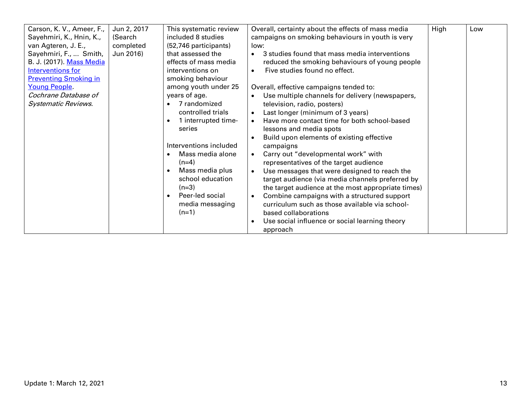| Carson, K. V., Ameer, F.,    | Jun 2, 2017 | This systematic review           | Overall, certainty about the effects of mass media       | High | Low |
|------------------------------|-------------|----------------------------------|----------------------------------------------------------|------|-----|
| Sayehmiri, K., Hnin, K.,     | (Search     | included 8 studies               | campaigns on smoking behaviours in youth is very         |      |     |
| van Agteren, J. E.,          | completed   | (52,746 participants)            | low:                                                     |      |     |
| Sayehmiri, F.,  Smith,       | Jun 2016)   | that assessed the                | 3 studies found that mass media interventions            |      |     |
| B. J. (2017). Mass Media     |             | effects of mass media            | reduced the smoking behaviours of young people           |      |     |
| <b>Interventions for</b>     |             | interventions on                 | Five studies found no effect.                            |      |     |
| <b>Preventing Smoking in</b> |             | smoking behaviour                |                                                          |      |     |
| Young People.                |             | among youth under 25             | Overall, effective campaigns tended to:                  |      |     |
| Cochrane Database of         |             | years of age.                    | Use multiple channels for delivery (newspapers,          |      |     |
| <b>Systematic Reviews.</b>   |             | 7 randomized                     | television, radio, posters)                              |      |     |
|                              |             | controlled trials                | Last longer (minimum of 3 years)<br>$\bullet$            |      |     |
|                              |             | 1 interrupted time-<br>$\bullet$ | Have more contact time for both school-based             |      |     |
|                              |             | series                           | lessons and media spots                                  |      |     |
|                              |             |                                  | Build upon elements of existing effective                |      |     |
|                              |             | Interventions included           | campaigns                                                |      |     |
|                              |             | Mass media alone<br>$\bullet$    | Carry out "developmental work" with                      |      |     |
|                              |             | $(n=4)$                          | representatives of the target audience                   |      |     |
|                              |             | Mass media plus<br>$\bullet$     | Use messages that were designed to reach the             |      |     |
|                              |             | school education                 | target audience (via media channels preferred by         |      |     |
|                              |             | $(n=3)$                          | the target audience at the most appropriate times)       |      |     |
|                              |             | Peer-led social<br>$\bullet$     | Combine campaigns with a structured support<br>$\bullet$ |      |     |
|                              |             | media messaging                  | curriculum such as those available via school-           |      |     |
|                              |             | $(n=1)$                          | based collaborations                                     |      |     |
|                              |             |                                  | Use social influence or social learning theory           |      |     |
|                              |             |                                  | approach                                                 |      |     |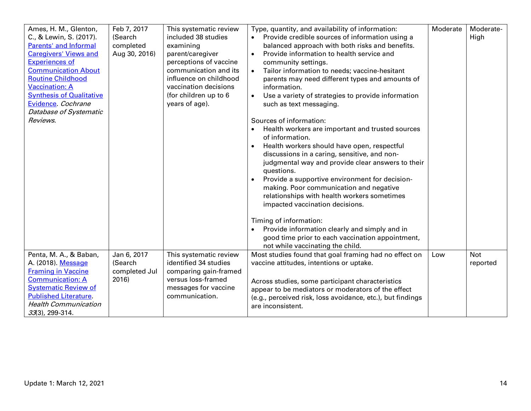| Ames, H. M., Glenton,<br>C., & Lewin, S. (2017).<br>Parents' and Informal<br><b>Caregivers' Views and</b>                                                                | Feb 7, 2017<br>(Search<br>completed<br>Aug 30, 2016) | This systematic review<br>included 38 studies<br>examining<br>parent/caregiver                                                                | Type, quantity, and availability of information:<br>Provide credible sources of information using a<br>balanced approach with both risks and benefits.<br>Provide information to health service and                                                                                                                                                                                                                                                                                                                                                                                         | Moderate | Moderate-<br>High      |
|--------------------------------------------------------------------------------------------------------------------------------------------------------------------------|------------------------------------------------------|-----------------------------------------------------------------------------------------------------------------------------------------------|---------------------------------------------------------------------------------------------------------------------------------------------------------------------------------------------------------------------------------------------------------------------------------------------------------------------------------------------------------------------------------------------------------------------------------------------------------------------------------------------------------------------------------------------------------------------------------------------|----------|------------------------|
| <b>Experiences of</b><br><b>Communication About</b><br><b>Routine Childhood</b><br><b>Vaccination: A</b><br><b>Synthesis of Qualitative</b><br>Evidence. Cochrane        |                                                      | perceptions of vaccine<br>communication and its<br>influence on childhood<br>vaccination decisions<br>(for children up to 6<br>years of age). | community settings.<br>Tailor information to needs; vaccine-hesitant<br>$\bullet$<br>parents may need different types and amounts of<br>information.<br>Use a variety of strategies to provide information<br>such as text messaging.                                                                                                                                                                                                                                                                                                                                                       |          |                        |
| Database of Systematic<br>Reviews.                                                                                                                                       |                                                      |                                                                                                                                               | Sources of information:<br>Health workers are important and trusted sources<br>of information.<br>Health workers should have open, respectful<br>$\bullet$<br>discussions in a caring, sensitive, and non-<br>judgmental way and provide clear answers to their<br>questions.<br>Provide a supportive environment for decision-<br>making. Poor communication and negative<br>relationships with health workers sometimes<br>impacted vaccination decisions.<br>Timing of information:<br>Provide information clearly and simply and in<br>good time prior to each vaccination appointment, |          |                        |
| Penta, M. A., & Baban,<br>A. (2018). Message                                                                                                                             | Jan 6, 2017<br>(Search                               | This systematic review<br>identified 34 studies                                                                                               | not while vaccinating the child.<br>Most studies found that goal framing had no effect on<br>vaccine attitudes, intentions or uptake.                                                                                                                                                                                                                                                                                                                                                                                                                                                       | Low      | <b>Not</b><br>reported |
| <b>Framing in Vaccine</b><br><b>Communication: A</b><br><b>Systematic Review of</b><br><b>Published Literature.</b><br><b>Health Communication</b><br>$33(3)$ , 299-314. | completed Jul<br>2016)                               | comparing gain-framed<br>versus loss-framed<br>messages for vaccine<br>communication.                                                         | Across studies, some participant characteristics<br>appear to be mediators or moderators of the effect<br>(e.g., perceived risk, loss avoidance, etc.), but findings<br>are inconsistent.                                                                                                                                                                                                                                                                                                                                                                                                   |          |                        |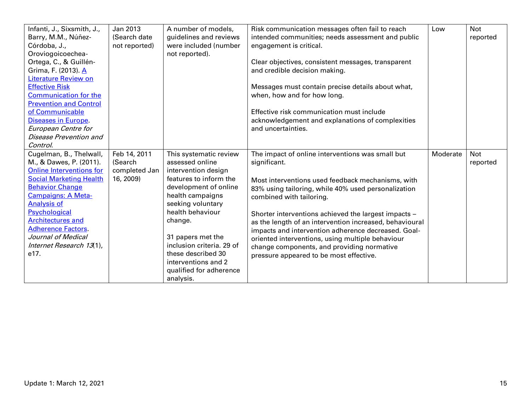| Infanti, J., Sixsmith, J.,<br>Barry, M.M., Núñez-<br>Córdoba, J.,<br>Oroviogoicoechea-<br>Ortega, C., & Guillén-<br>Grima, F. (2013). A<br><b>Literature Review on</b><br><b>Effective Risk</b><br><b>Communication for the</b><br><b>Prevention and Control</b><br>of Communicable<br><b>Diseases in Europe.</b><br>European Centre for<br>Disease Prevention and<br>Control. | Jan 2013<br>(Search date)<br>not reported)            | A number of models,<br>guidelines and reviews<br>were included (number<br>not reported).                                                                                                                                                                                                                                           | Risk communication messages often fail to reach<br>intended communities; needs assessment and public<br>engagement is critical.<br>Clear objectives, consistent messages, transparent<br>and credible decision making.<br>Messages must contain precise details about what,<br>when, how and for how long.<br>Effective risk communication must include<br>acknowledgement and explanations of complexities<br>and uncertainties.                                                                                               | Low      | <b>Not</b><br>reported |
|--------------------------------------------------------------------------------------------------------------------------------------------------------------------------------------------------------------------------------------------------------------------------------------------------------------------------------------------------------------------------------|-------------------------------------------------------|------------------------------------------------------------------------------------------------------------------------------------------------------------------------------------------------------------------------------------------------------------------------------------------------------------------------------------|---------------------------------------------------------------------------------------------------------------------------------------------------------------------------------------------------------------------------------------------------------------------------------------------------------------------------------------------------------------------------------------------------------------------------------------------------------------------------------------------------------------------------------|----------|------------------------|
| Cugelman, B., Thelwall,<br>M., & Dawes, P. (2011).<br><b>Online Interventions for</b><br><b>Social Marketing Health</b><br><b>Behavior Change</b><br>Campaigns: A Meta-<br><b>Analysis of</b><br>Psychological<br><b>Architectures and</b><br><b>Adherence Factors.</b><br>Journal of Medical<br>Internet Research 13(1),<br>e17.                                              | Feb 14, 2011<br>(Search<br>completed Jan<br>16, 2009) | This systematic review<br>assessed online<br>intervention design<br>features to inform the<br>development of online<br>health campaigns<br>seeking voluntary<br>health behaviour<br>change.<br>31 papers met the<br>inclusion criteria. 29 of<br>these described 30<br>interventions and 2<br>qualified for adherence<br>analysis. | The impact of online interventions was small but<br>significant.<br>Most interventions used feedback mechanisms, with<br>83% using tailoring, while 40% used personalization<br>combined with tailoring.<br>Shorter interventions achieved the largest impacts -<br>as the length of an intervention increased, behavioural<br>impacts and intervention adherence decreased. Goal-<br>oriented interventions, using multiple behaviour<br>change components, and providing normative<br>pressure appeared to be most effective. | Moderate | <b>Not</b><br>reported |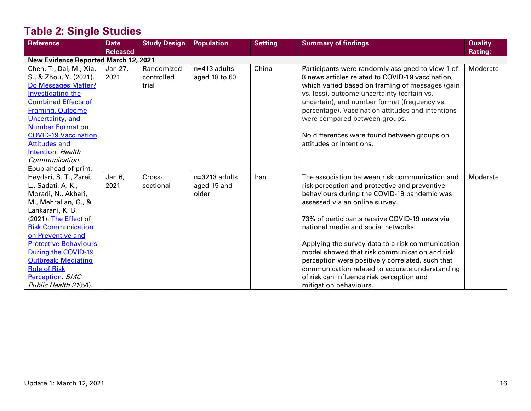# **Table 2: Single Studies**

| <b>Reference</b>                                                                                                                                                                                                                                                                                                                                   | <b>Date</b><br><b>Released</b> | <b>Study Design</b>               | <b>Population</b>                       | <b>Setting</b> | <b>Summary of findings</b>                                                                                                                                                                                                                                                                                                                                                                                                                                                                                                                                  | <b>Quality</b><br><b>Rating:</b> |
|----------------------------------------------------------------------------------------------------------------------------------------------------------------------------------------------------------------------------------------------------------------------------------------------------------------------------------------------------|--------------------------------|-----------------------------------|-----------------------------------------|----------------|-------------------------------------------------------------------------------------------------------------------------------------------------------------------------------------------------------------------------------------------------------------------------------------------------------------------------------------------------------------------------------------------------------------------------------------------------------------------------------------------------------------------------------------------------------------|----------------------------------|
| <b>New Evidence Reported March 12, 2021</b>                                                                                                                                                                                                                                                                                                        |                                |                                   |                                         |                |                                                                                                                                                                                                                                                                                                                                                                                                                                                                                                                                                             |                                  |
| Chen, T., Dai, M., Xia,<br>S., & Zhou, Y. (2021).<br>Do Messages Matter?<br>Investigating the<br><b>Combined Effects of</b><br><b>Framing, Outcome</b><br>Uncertainty, and<br><b>Number Format on</b><br><b>COVID-19 Vaccination</b><br><b>Attitudes and</b><br>Intention. Health<br>Communication.<br>Epub ahead of print.                        | Jan 27,<br>2021                | Randomized<br>controlled<br>trial | $n=413$ adults<br>aged 18 to 60         | China          | Participants were randomly assigned to view 1 of<br>8 news articles related to COVID-19 vaccination,<br>which varied based on framing of messages (gain<br>vs. loss), outcome uncertainty (certain vs.<br>uncertain), and number format (frequency vs.<br>percentage). Vaccination attitudes and intentions<br>were compared between groups.<br>No differences were found between groups on<br>attitudes or intentions.                                                                                                                                     | Moderate                         |
| Heydari, S. T., Zarei,<br>L., Sadati, A. K.,<br>Moradi, N., Akbari,<br>M., Mehralian, G., &<br>Lankarani, K. B.<br>(2021). The Effect of<br><b>Risk Communication</b><br>on Preventive and<br><b>Protective Behaviours</b><br>During the COVID-19<br><b>Outbreak: Mediating</b><br><b>Role of Risk</b><br>Perception. BMC<br>Public Health 21(54). | Jan 6,<br>2021                 | Cross-<br>sectional               | $n=3213$ adults<br>aged 15 and<br>older | Iran           | The association between risk communication and<br>risk perception and protective and preventive<br>behaviours during the COVID-19 pandemic was<br>assessed via an online survey.<br>73% of participants receive COVID-19 news via<br>national media and social networks.<br>Applying the survey data to a risk communication<br>model showed that risk communication and risk<br>perception were positively correlated, such that<br>communication related to accurate understanding<br>of risk can influence risk perception and<br>mitigation behaviours. | Moderate                         |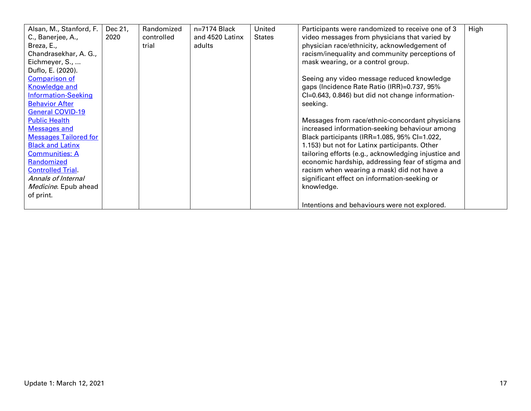| Alsan, M., Stanford, F.      | Dec 21, | Randomized | n=7174 Black    | United        | Participants were randomized to receive one of 3     | High |
|------------------------------|---------|------------|-----------------|---------------|------------------------------------------------------|------|
| C., Banerjee, A.,            | 2020    | controlled | and 4520 Latinx | <b>States</b> | video messages from physicians that varied by        |      |
| Breza, E.,                   |         | trial      | adults          |               | physician race/ethnicity, acknowledgement of         |      |
| Chandrasekhar, A. G.,        |         |            |                 |               | racism/inequality and community perceptions of       |      |
| Eichmeyer, S.,               |         |            |                 |               | mask wearing, or a control group.                    |      |
| Duflo, E. (2020).            |         |            |                 |               |                                                      |      |
| <b>Comparison of</b>         |         |            |                 |               | Seeing any video message reduced knowledge           |      |
| <b>Knowledge and</b>         |         |            |                 |               | gaps (Incidence Rate Ratio (IRR)=0.737, 95%          |      |
| <b>Information-Seeking</b>   |         |            |                 |               | CI=0.643, 0.846) but did not change information-     |      |
| <b>Behavior After</b>        |         |            |                 |               | seeking.                                             |      |
| General COVID-19             |         |            |                 |               |                                                      |      |
| <b>Public Health</b>         |         |            |                 |               | Messages from race/ethnic-concordant physicians      |      |
| Messages and                 |         |            |                 |               | increased information-seeking behaviour among        |      |
| <b>Messages Tailored for</b> |         |            |                 |               | Black participants (IRR=1.085, 95% Cl=1.022,         |      |
| <b>Black and Latinx</b>      |         |            |                 |               | 1.153) but not for Latinx participants. Other        |      |
| <b>Communities: A</b>        |         |            |                 |               | tailoring efforts (e.g., acknowledging injustice and |      |
| Randomized                   |         |            |                 |               | economic hardship, addressing fear of stigma and     |      |
| <b>Controlled Trial</b>      |         |            |                 |               | racism when wearing a mask) did not have a           |      |
| Annals of Internal           |         |            |                 |               | significant effect on information-seeking or         |      |
| Medicine. Epub ahead         |         |            |                 |               | knowledge.                                           |      |
| of print.                    |         |            |                 |               |                                                      |      |
|                              |         |            |                 |               | Intentions and behaviours were not explored.         |      |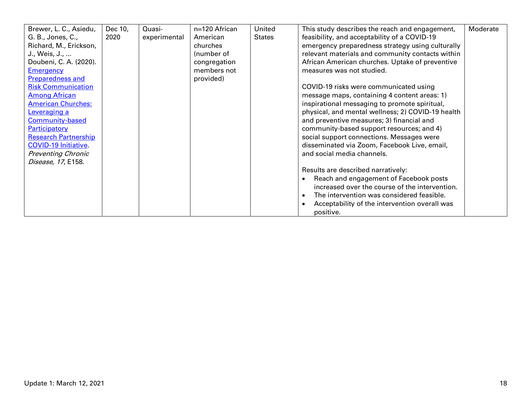| Brewer, L. C., Asiedu,      | Dec 10, | Quasi-       | n=120 African | United        | This study describes the reach and engagement,    | Moderate |
|-----------------------------|---------|--------------|---------------|---------------|---------------------------------------------------|----------|
| G. B., Jones, C.,           | 2020    | experimental | American      | <b>States</b> | feasibility, and acceptability of a COVID-19      |          |
| Richard, M., Erickson,      |         |              | churches      |               | emergency preparedness strategy using culturally  |          |
| J., Weis, J.,               |         |              | (number of    |               | relevant materials and community contacts within  |          |
| Doubeni, C. A. (2020).      |         |              | congregation  |               | African American churches. Uptake of preventive   |          |
| <b>Emergency</b>            |         |              | members not   |               | measures was not studied.                         |          |
| Preparedness and            |         |              | provided)     |               |                                                   |          |
| <b>Risk Communication</b>   |         |              |               |               | COVID-19 risks were communicated using            |          |
| <b>Among African</b>        |         |              |               |               | message maps, containing 4 content areas: 1)      |          |
| <b>American Churches:</b>   |         |              |               |               | inspirational messaging to promote spiritual,     |          |
| <b>Leveraging a</b>         |         |              |               |               | physical, and mental wellness; 2) COVID-19 health |          |
| <b>Community-based</b>      |         |              |               |               | and preventive measures; 3) financial and         |          |
| Participatory               |         |              |               |               | community-based support resources; and 4)         |          |
| <b>Research Partnership</b> |         |              |               |               | social support connections. Messages were         |          |
| <b>COVID-19 Initiative.</b> |         |              |               |               | disseminated via Zoom, Facebook Live, email,      |          |
| <b>Preventing Chronic</b>   |         |              |               |               | and social media channels.                        |          |
| Disease, 17, E158.          |         |              |               |               |                                                   |          |
|                             |         |              |               |               | Results are described narratively:                |          |
|                             |         |              |               |               | Reach and engagement of Facebook posts            |          |
|                             |         |              |               |               | increased over the course of the intervention.    |          |
|                             |         |              |               |               | The intervention was considered feasible.         |          |
|                             |         |              |               |               | Acceptability of the intervention overall was     |          |
|                             |         |              |               |               | positive.                                         |          |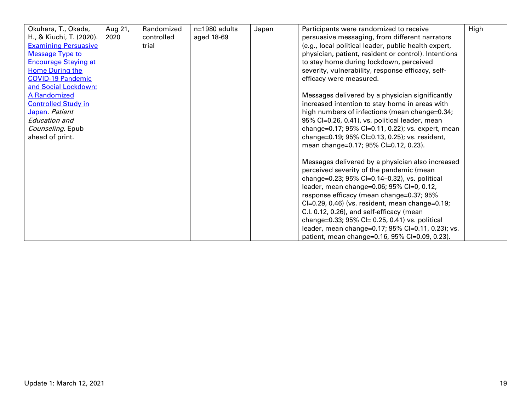| Okuhara, T., Okada,         | Aug 21, | Randomized | $n=1980$ adults | Japan | Participants were randomized to receive              | High |
|-----------------------------|---------|------------|-----------------|-------|------------------------------------------------------|------|
| H., & Kiuchi, T. (2020).    | 2020    | controlled | aged 18-69      |       | persuasive messaging, from different narrators       |      |
| <b>Examining Persuasive</b> |         | trial      |                 |       | (e.g., local political leader, public health expert, |      |
| <b>Message Type to</b>      |         |            |                 |       | physician, patient, resident or control). Intentions |      |
| <b>Encourage Staying at</b> |         |            |                 |       | to stay home during lockdown, perceived              |      |
| <b>Home During the</b>      |         |            |                 |       | severity, vulnerability, response efficacy, self-    |      |
| <b>COVID-19 Pandemic</b>    |         |            |                 |       | efficacy were measured.                              |      |
| and Social Lockdown:        |         |            |                 |       |                                                      |      |
| <b>A Randomized</b>         |         |            |                 |       | Messages delivered by a physician significantly      |      |
| <b>Controlled Study in</b>  |         |            |                 |       | increased intention to stay home in areas with       |      |
| Japan Patient               |         |            |                 |       | high numbers of infections (mean change=0.34;        |      |
| <b>Education and</b>        |         |            |                 |       | 95% Cl=0.26, 0.41), vs. political leader, mean       |      |
| Counseling. Epub            |         |            |                 |       | change=0.17; 95% CI=0.11, 0.22); vs. expert, mean    |      |
| ahead of print.             |         |            |                 |       | change=0.19; 95% CI=0.13, 0.25); vs. resident,       |      |
|                             |         |            |                 |       | mean change=0.17; 95% CI=0.12, 0.23).                |      |
|                             |         |            |                 |       |                                                      |      |
|                             |         |            |                 |       | Messages delivered by a physician also increased     |      |
|                             |         |            |                 |       | perceived severity of the pandemic (mean             |      |
|                             |         |            |                 |       | change=0.23; 95% Cl=0.14-0.32), vs. political        |      |
|                             |         |            |                 |       | leader, mean change=0.06; 95% Cl=0, 0.12,            |      |
|                             |         |            |                 |       | response efficacy (mean change=0.37; 95%             |      |
|                             |         |            |                 |       | Cl=0.29, 0.46) (vs. resident, mean change=0.19;      |      |
|                             |         |            |                 |       | C.I. 0.12, 0.26), and self-efficacy (mean            |      |
|                             |         |            |                 |       | change=0.33; 95% CI= 0.25, 0.41) vs. political       |      |
|                             |         |            |                 |       | leader, mean change=0.17; 95% Cl=0.11, 0.23); vs.    |      |
|                             |         |            |                 |       | patient, mean change=0.16, 95% CI=0.09, 0.23).       |      |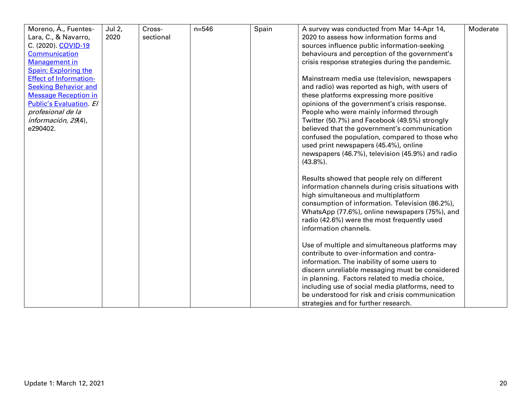| Moreno, Á., Fuentes-           | Jul 2, | Cross-    | $n = 546$ | Spain | A survey was conducted from Mar 14-Apr 14,         | Moderate |
|--------------------------------|--------|-----------|-----------|-------|----------------------------------------------------|----------|
| Lara, C., & Navarro,           | 2020   | sectional |           |       | 2020 to assess how information forms and           |          |
| C. (2020). COVID-19            |        |           |           |       | sources influence public information-seeking       |          |
| Communication                  |        |           |           |       | behaviours and perception of the government's      |          |
| <b>Management</b> in           |        |           |           |       | crisis response strategies during the pandemic.    |          |
| <b>Spain: Exploring the</b>    |        |           |           |       |                                                    |          |
| <b>Effect of Information-</b>  |        |           |           |       | Mainstream media use (television, newspapers       |          |
| <b>Seeking Behavior and</b>    |        |           |           |       | and radio) was reported as high, with users of     |          |
| <b>Message Reception in</b>    |        |           |           |       | these platforms expressing more positive           |          |
| <b>Public's Evaluation. El</b> |        |           |           |       | opinions of the government's crisis response.      |          |
| profesional de la              |        |           |           |       | People who were mainly informed through            |          |
| información, 29(4),            |        |           |           |       | Twitter (50.7%) and Facebook (49.5%) strongly      |          |
| e290402.                       |        |           |           |       | believed that the government's communication       |          |
|                                |        |           |           |       | confused the population, compared to those who     |          |
|                                |        |           |           |       | used print newspapers (45.4%), online              |          |
|                                |        |           |           |       | newspapers (46.7%), television (45.9%) and radio   |          |
|                                |        |           |           |       | $(43.8\%)$ .                                       |          |
|                                |        |           |           |       |                                                    |          |
|                                |        |           |           |       | Results showed that people rely on different       |          |
|                                |        |           |           |       | information channels during crisis situations with |          |
|                                |        |           |           |       | high simultaneous and multiplatform                |          |
|                                |        |           |           |       | consumption of information. Television (86.2%),    |          |
|                                |        |           |           |       | WhatsApp (77.6%), online newspapers (75%), and     |          |
|                                |        |           |           |       | radio (42.6%) were the most frequently used        |          |
|                                |        |           |           |       | information channels.                              |          |
|                                |        |           |           |       |                                                    |          |
|                                |        |           |           |       | Use of multiple and simultaneous platforms may     |          |
|                                |        |           |           |       | contribute to over-information and contra-         |          |
|                                |        |           |           |       | information. The inability of some users to        |          |
|                                |        |           |           |       | discern unreliable messaging must be considered    |          |
|                                |        |           |           |       | in planning. Factors related to media choice,      |          |
|                                |        |           |           |       | including use of social media platforms, need to   |          |
|                                |        |           |           |       | be understood for risk and crisis communication    |          |
|                                |        |           |           |       | strategies and for further research.               |          |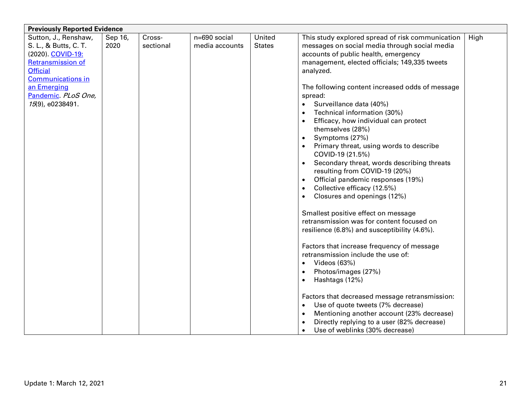| n=690 social<br>United<br>High<br>Sutton, J., Renshaw,<br>Sep 16,<br>Cross-<br>This study explored spread of risk communication<br>S. L., & Butts, C. T.<br>2020<br>sectional<br><b>States</b><br>messages on social media through social media<br>media accounts<br>(2020). COVID-19:<br>accounts of public health, emergency<br><b>Retransmission of</b><br>management, elected officials; 149,335 tweets<br><b>Official</b><br>analyzed.<br><b>Communications in</b><br>an Emerging<br>The following content increased odds of message<br>Pandemic. PLoS One,<br>spread:<br>15(9), e0238491.<br>Surveillance data (40%)<br>Technical information (30%)<br>Efficacy, how individual can protect<br>themselves (28%)<br>Symptoms (27%)<br>$\bullet$<br>Primary threat, using words to describe<br>COVID-19 (21.5%)<br>Secondary threat, words describing threats<br>$\bullet$<br>resulting from COVID-19 (20%)<br>Official pandemic responses (19%)<br>Collective efficacy (12.5%)<br>$\bullet$<br>Closures and openings (12%)<br>Smallest positive effect on message<br>retransmission was for content focused on<br>resilience (6.8%) and susceptibility (4.6%).<br>Factors that increase frequency of message<br>retransmission include the use of:<br>Videos (63%)<br>$\bullet$<br>Photos/images (27%)<br>$\bullet$<br>Hashtags (12%)<br>Factors that decreased message retransmission:<br>Use of quote tweets (7% decrease) | <b>Previously Reported Evidence</b> |  |  |                                           |  |
|-----------------------------------------------------------------------------------------------------------------------------------------------------------------------------------------------------------------------------------------------------------------------------------------------------------------------------------------------------------------------------------------------------------------------------------------------------------------------------------------------------------------------------------------------------------------------------------------------------------------------------------------------------------------------------------------------------------------------------------------------------------------------------------------------------------------------------------------------------------------------------------------------------------------------------------------------------------------------------------------------------------------------------------------------------------------------------------------------------------------------------------------------------------------------------------------------------------------------------------------------------------------------------------------------------------------------------------------------------------------------------------------------------------------------------------|-------------------------------------|--|--|-------------------------------------------|--|
|                                                                                                                                                                                                                                                                                                                                                                                                                                                                                                                                                                                                                                                                                                                                                                                                                                                                                                                                                                                                                                                                                                                                                                                                                                                                                                                                                                                                                                   |                                     |  |  |                                           |  |
|                                                                                                                                                                                                                                                                                                                                                                                                                                                                                                                                                                                                                                                                                                                                                                                                                                                                                                                                                                                                                                                                                                                                                                                                                                                                                                                                                                                                                                   |                                     |  |  |                                           |  |
|                                                                                                                                                                                                                                                                                                                                                                                                                                                                                                                                                                                                                                                                                                                                                                                                                                                                                                                                                                                                                                                                                                                                                                                                                                                                                                                                                                                                                                   |                                     |  |  |                                           |  |
|                                                                                                                                                                                                                                                                                                                                                                                                                                                                                                                                                                                                                                                                                                                                                                                                                                                                                                                                                                                                                                                                                                                                                                                                                                                                                                                                                                                                                                   |                                     |  |  |                                           |  |
|                                                                                                                                                                                                                                                                                                                                                                                                                                                                                                                                                                                                                                                                                                                                                                                                                                                                                                                                                                                                                                                                                                                                                                                                                                                                                                                                                                                                                                   |                                     |  |  |                                           |  |
|                                                                                                                                                                                                                                                                                                                                                                                                                                                                                                                                                                                                                                                                                                                                                                                                                                                                                                                                                                                                                                                                                                                                                                                                                                                                                                                                                                                                                                   |                                     |  |  |                                           |  |
|                                                                                                                                                                                                                                                                                                                                                                                                                                                                                                                                                                                                                                                                                                                                                                                                                                                                                                                                                                                                                                                                                                                                                                                                                                                                                                                                                                                                                                   |                                     |  |  |                                           |  |
|                                                                                                                                                                                                                                                                                                                                                                                                                                                                                                                                                                                                                                                                                                                                                                                                                                                                                                                                                                                                                                                                                                                                                                                                                                                                                                                                                                                                                                   |                                     |  |  |                                           |  |
|                                                                                                                                                                                                                                                                                                                                                                                                                                                                                                                                                                                                                                                                                                                                                                                                                                                                                                                                                                                                                                                                                                                                                                                                                                                                                                                                                                                                                                   |                                     |  |  |                                           |  |
|                                                                                                                                                                                                                                                                                                                                                                                                                                                                                                                                                                                                                                                                                                                                                                                                                                                                                                                                                                                                                                                                                                                                                                                                                                                                                                                                                                                                                                   |                                     |  |  |                                           |  |
|                                                                                                                                                                                                                                                                                                                                                                                                                                                                                                                                                                                                                                                                                                                                                                                                                                                                                                                                                                                                                                                                                                                                                                                                                                                                                                                                                                                                                                   |                                     |  |  |                                           |  |
|                                                                                                                                                                                                                                                                                                                                                                                                                                                                                                                                                                                                                                                                                                                                                                                                                                                                                                                                                                                                                                                                                                                                                                                                                                                                                                                                                                                                                                   |                                     |  |  |                                           |  |
|                                                                                                                                                                                                                                                                                                                                                                                                                                                                                                                                                                                                                                                                                                                                                                                                                                                                                                                                                                                                                                                                                                                                                                                                                                                                                                                                                                                                                                   |                                     |  |  |                                           |  |
|                                                                                                                                                                                                                                                                                                                                                                                                                                                                                                                                                                                                                                                                                                                                                                                                                                                                                                                                                                                                                                                                                                                                                                                                                                                                                                                                                                                                                                   |                                     |  |  |                                           |  |
|                                                                                                                                                                                                                                                                                                                                                                                                                                                                                                                                                                                                                                                                                                                                                                                                                                                                                                                                                                                                                                                                                                                                                                                                                                                                                                                                                                                                                                   |                                     |  |  |                                           |  |
|                                                                                                                                                                                                                                                                                                                                                                                                                                                                                                                                                                                                                                                                                                                                                                                                                                                                                                                                                                                                                                                                                                                                                                                                                                                                                                                                                                                                                                   |                                     |  |  |                                           |  |
|                                                                                                                                                                                                                                                                                                                                                                                                                                                                                                                                                                                                                                                                                                                                                                                                                                                                                                                                                                                                                                                                                                                                                                                                                                                                                                                                                                                                                                   |                                     |  |  |                                           |  |
|                                                                                                                                                                                                                                                                                                                                                                                                                                                                                                                                                                                                                                                                                                                                                                                                                                                                                                                                                                                                                                                                                                                                                                                                                                                                                                                                                                                                                                   |                                     |  |  |                                           |  |
|                                                                                                                                                                                                                                                                                                                                                                                                                                                                                                                                                                                                                                                                                                                                                                                                                                                                                                                                                                                                                                                                                                                                                                                                                                                                                                                                                                                                                                   |                                     |  |  |                                           |  |
|                                                                                                                                                                                                                                                                                                                                                                                                                                                                                                                                                                                                                                                                                                                                                                                                                                                                                                                                                                                                                                                                                                                                                                                                                                                                                                                                                                                                                                   |                                     |  |  |                                           |  |
|                                                                                                                                                                                                                                                                                                                                                                                                                                                                                                                                                                                                                                                                                                                                                                                                                                                                                                                                                                                                                                                                                                                                                                                                                                                                                                                                                                                                                                   |                                     |  |  |                                           |  |
|                                                                                                                                                                                                                                                                                                                                                                                                                                                                                                                                                                                                                                                                                                                                                                                                                                                                                                                                                                                                                                                                                                                                                                                                                                                                                                                                                                                                                                   |                                     |  |  |                                           |  |
|                                                                                                                                                                                                                                                                                                                                                                                                                                                                                                                                                                                                                                                                                                                                                                                                                                                                                                                                                                                                                                                                                                                                                                                                                                                                                                                                                                                                                                   |                                     |  |  |                                           |  |
|                                                                                                                                                                                                                                                                                                                                                                                                                                                                                                                                                                                                                                                                                                                                                                                                                                                                                                                                                                                                                                                                                                                                                                                                                                                                                                                                                                                                                                   |                                     |  |  |                                           |  |
|                                                                                                                                                                                                                                                                                                                                                                                                                                                                                                                                                                                                                                                                                                                                                                                                                                                                                                                                                                                                                                                                                                                                                                                                                                                                                                                                                                                                                                   |                                     |  |  |                                           |  |
|                                                                                                                                                                                                                                                                                                                                                                                                                                                                                                                                                                                                                                                                                                                                                                                                                                                                                                                                                                                                                                                                                                                                                                                                                                                                                                                                                                                                                                   |                                     |  |  |                                           |  |
|                                                                                                                                                                                                                                                                                                                                                                                                                                                                                                                                                                                                                                                                                                                                                                                                                                                                                                                                                                                                                                                                                                                                                                                                                                                                                                                                                                                                                                   |                                     |  |  |                                           |  |
|                                                                                                                                                                                                                                                                                                                                                                                                                                                                                                                                                                                                                                                                                                                                                                                                                                                                                                                                                                                                                                                                                                                                                                                                                                                                                                                                                                                                                                   |                                     |  |  |                                           |  |
|                                                                                                                                                                                                                                                                                                                                                                                                                                                                                                                                                                                                                                                                                                                                                                                                                                                                                                                                                                                                                                                                                                                                                                                                                                                                                                                                                                                                                                   |                                     |  |  |                                           |  |
|                                                                                                                                                                                                                                                                                                                                                                                                                                                                                                                                                                                                                                                                                                                                                                                                                                                                                                                                                                                                                                                                                                                                                                                                                                                                                                                                                                                                                                   |                                     |  |  |                                           |  |
|                                                                                                                                                                                                                                                                                                                                                                                                                                                                                                                                                                                                                                                                                                                                                                                                                                                                                                                                                                                                                                                                                                                                                                                                                                                                                                                                                                                                                                   |                                     |  |  |                                           |  |
|                                                                                                                                                                                                                                                                                                                                                                                                                                                                                                                                                                                                                                                                                                                                                                                                                                                                                                                                                                                                                                                                                                                                                                                                                                                                                                                                                                                                                                   |                                     |  |  |                                           |  |
|                                                                                                                                                                                                                                                                                                                                                                                                                                                                                                                                                                                                                                                                                                                                                                                                                                                                                                                                                                                                                                                                                                                                                                                                                                                                                                                                                                                                                                   |                                     |  |  |                                           |  |
|                                                                                                                                                                                                                                                                                                                                                                                                                                                                                                                                                                                                                                                                                                                                                                                                                                                                                                                                                                                                                                                                                                                                                                                                                                                                                                                                                                                                                                   |                                     |  |  | Mentioning another account (23% decrease) |  |
| Directly replying to a user (82% decrease)                                                                                                                                                                                                                                                                                                                                                                                                                                                                                                                                                                                                                                                                                                                                                                                                                                                                                                                                                                                                                                                                                                                                                                                                                                                                                                                                                                                        |                                     |  |  |                                           |  |
| Use of weblinks (30% decrease)                                                                                                                                                                                                                                                                                                                                                                                                                                                                                                                                                                                                                                                                                                                                                                                                                                                                                                                                                                                                                                                                                                                                                                                                                                                                                                                                                                                                    |                                     |  |  |                                           |  |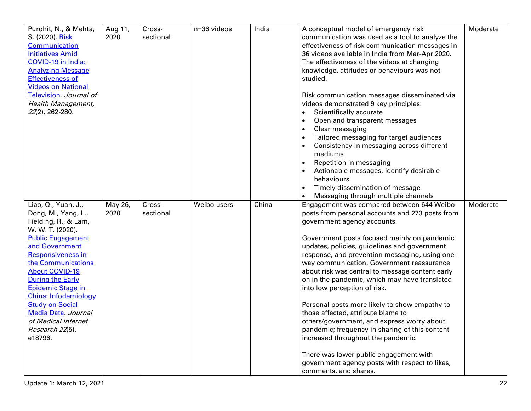| Purohit, N., & Mehta,<br>S. (2020). Risk<br>Communication<br><b>Initiatives Amid</b><br>COVID-19 in India:<br><b>Analyzing Message</b><br><b>Effectiveness of</b><br><b>Videos on National</b>                                                                                                                                                                                                      | Aug 11,<br>2020 | Cross-<br>sectional | n=36 videos | India | A conceptual model of emergency risk<br>communication was used as a tool to analyze the<br>effectiveness of risk communication messages in<br>36 videos available in India from Mar-Apr 2020.<br>The effectiveness of the videos at changing<br>knowledge, attitudes or behaviours was not<br>studied.                                                                                                                                                                                                                                                                                                                                                                                                                               | Moderate |
|-----------------------------------------------------------------------------------------------------------------------------------------------------------------------------------------------------------------------------------------------------------------------------------------------------------------------------------------------------------------------------------------------------|-----------------|---------------------|-------------|-------|--------------------------------------------------------------------------------------------------------------------------------------------------------------------------------------------------------------------------------------------------------------------------------------------------------------------------------------------------------------------------------------------------------------------------------------------------------------------------------------------------------------------------------------------------------------------------------------------------------------------------------------------------------------------------------------------------------------------------------------|----------|
| Television. Journal of<br>Health Management,<br>22(2), 262-280.                                                                                                                                                                                                                                                                                                                                     |                 |                     |             |       | Risk communication messages disseminated via<br>videos demonstrated 9 key principles:<br>Scientifically accurate<br>$\bullet$<br>Open and transparent messages<br>$\bullet$<br>Clear messaging<br>$\bullet$<br>Tailored messaging for target audiences<br>$\bullet$<br>Consistency in messaging across different<br>$\bullet$<br>mediums<br>Repetition in messaging<br>Actionable messages, identify desirable<br>behaviours<br>Timely dissemination of message<br>$\bullet$<br>Messaging through multiple channels                                                                                                                                                                                                                  |          |
| Liao, Q., Yuan, J.,<br>Dong, M., Yang, L.,<br>Fielding, R., & Lam,<br>W. W. T. (2020).<br><b>Public Engagement</b><br>and Government<br><b>Responsiveness in</b><br>the Communications<br><b>About COVID-19</b><br><b>During the Early</b><br>Epidemic Stage in<br><b>China: Infodemiology</b><br><b>Study on Social</b><br>Media Data Journal<br>of Medical Internet<br>Research 22(5),<br>e18796. | May 26,<br>2020 | Cross-<br>sectional | Weibo users | China | Engagement was compared between 644 Weibo<br>posts from personal accounts and 273 posts from<br>government agency accounts.<br>Government posts focused mainly on pandemic<br>updates, policies, guidelines and government<br>response, and prevention messaging, using one-<br>way communication. Government reassurance<br>about risk was central to message content early<br>on in the pandemic, which may have translated<br>into low perception of risk.<br>Personal posts more likely to show empathy to<br>those affected, attribute blame to<br>others/government, and express worry about<br>pandemic; frequency in sharing of this content<br>increased throughout the pandemic.<br>There was lower public engagement with | Moderate |
|                                                                                                                                                                                                                                                                                                                                                                                                     |                 |                     |             |       | government agency posts with respect to likes,<br>comments, and shares.                                                                                                                                                                                                                                                                                                                                                                                                                                                                                                                                                                                                                                                              |          |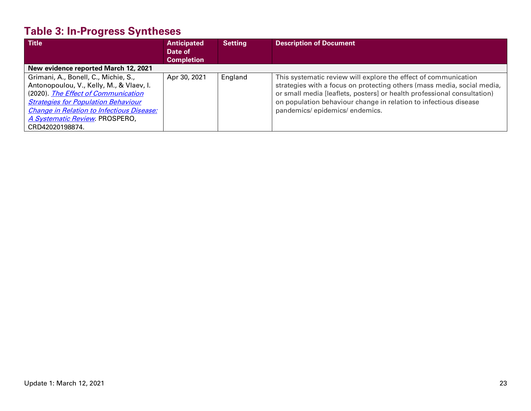# **Table 3: In-Progress Syntheses**

| <b>Title</b>                                     | <b>Anticipated</b> | <b>Setting</b> | <b>Description of Document</b>                                          |
|--------------------------------------------------|--------------------|----------------|-------------------------------------------------------------------------|
|                                                  | Date of            |                |                                                                         |
|                                                  | <b>Completion</b>  |                |                                                                         |
| New evidence reported March 12, 2021             |                    |                |                                                                         |
| Grimani, A., Bonell, C., Michie, S.,             | Apr 30, 2021       | England        | This systematic review will explore the effect of communication         |
| Antonopoulou, V., Kelly, M., & Vlaev, I.         |                    |                | strategies with a focus on protecting others (mass media, social media, |
| (2020). The Effect of Communication              |                    |                | or small media [leaflets, posters] or health professional consultation) |
| <b>Strategies for Population Behaviour</b>       |                    |                | on population behaviour change in relation to infectious disease        |
| <b>Change in Relation to Infectious Disease:</b> |                    |                | pandemics/epidemics/endemics.                                           |
| A Systematic Review PROSPERO,                    |                    |                |                                                                         |
| CRD42020198874.                                  |                    |                |                                                                         |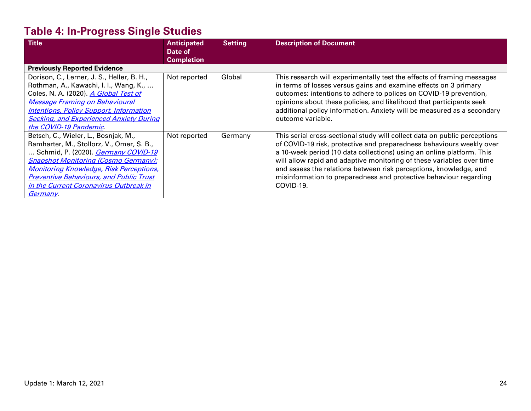# **Table 4: In-Progress Single Studies**

| <b>Title</b>                                   | <b>Anticipated</b><br>Date of | <b>Setting</b> | <b>Description of Document</b>                                            |
|------------------------------------------------|-------------------------------|----------------|---------------------------------------------------------------------------|
|                                                | <b>Completion</b>             |                |                                                                           |
| <b>Previously Reported Evidence</b>            |                               |                |                                                                           |
| Dorison, C., Lerner, J. S., Heller, B. H.,     | Not reported                  | Global         | This research will experimentally test the effects of framing messages    |
| Rothman, A., Kawachi, I. I., Wang, K.,         |                               |                | in terms of losses versus gains and examine effects on 3 primary          |
| Coles, N. A. (2020). A Global Test of          |                               |                | outcomes: intentions to adhere to polices on COVID-19 prevention,         |
| <b>Message Framing on Behavioural</b>          |                               |                | opinions about these policies, and likelihood that participants seek      |
| <b>Intentions, Policy Support, Information</b> |                               |                | additional policy information. Anxiety will be measured as a secondary    |
| <b>Seeking, and Experienced Anxiety During</b> |                               |                | outcome variable.                                                         |
| the COVID-19 Pandemic.                         |                               |                |                                                                           |
| Betsch, C., Wieler, L., Bosnjak, M.,           | Not reported                  | Germany        | This serial cross-sectional study will collect data on public perceptions |
| Ramharter, M., Stollorz, V., Omer, S. B.,      |                               |                | of COVID-19 risk, protective and preparedness behaviours weekly over      |
| Schmid, P. (2020). <i>Germany COVID-19</i>     |                               |                | a 10-week period (10 data collections) using an online platform. This     |
| <b>Snapshot Monitoring (Cosmo Germany):</b>    |                               |                | will allow rapid and adaptive monitoring of these variables over time     |
| <b>Monitoring Knowledge, Risk Perceptions,</b> |                               |                | and assess the relations between risk perceptions, knowledge, and         |
| <b>Preventive Behaviours, and Public Trust</b> |                               |                | misinformation to preparedness and protective behaviour regarding         |
| in the Current Coronavirus Outbreak in         |                               |                | COVID-19.                                                                 |
| <u>Germany</u>                                 |                               |                |                                                                           |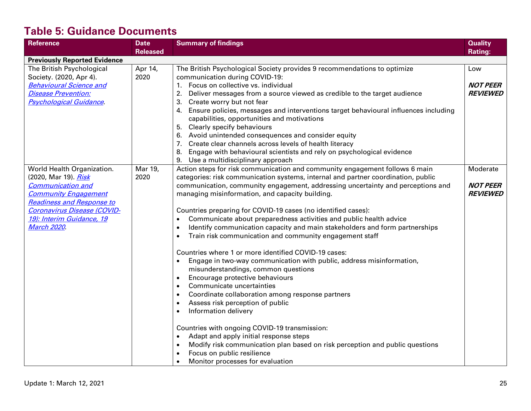## **Table 5: Guidance Documents**

| <b>Reference</b>                    | <b>Date</b>     | <b>Summary of findings</b>                                                             | <b>Quality</b>  |
|-------------------------------------|-----------------|----------------------------------------------------------------------------------------|-----------------|
|                                     | <b>Released</b> |                                                                                        | <b>Rating:</b>  |
| <b>Previously Reported Evidence</b> |                 |                                                                                        |                 |
| The British Psychological           | Apr 14,         | The British Psychological Society provides 9 recommendations to optimize               | Low             |
| Society. (2020, Apr 4).             | 2020            | communication during COVID-19:                                                         |                 |
| <b>Behavioural Science and</b>      |                 | 1. Focus on collective vs. individual                                                  | <b>NOT PEER</b> |
| <b>Disease Prevention:</b>          |                 | Deliver messages from a source viewed as credible to the target audience<br>2.         | <b>REVIEWED</b> |
| <b>Psychological Guidance</b>       |                 | Create worry but not fear<br>3.                                                        |                 |
|                                     |                 | 4. Ensure policies, messages and interventions target behavioural influences including |                 |
|                                     |                 | capabilities, opportunities and motivations                                            |                 |
|                                     |                 | 5. Clearly specify behaviours                                                          |                 |
|                                     |                 | 6. Avoid unintended consequences and consider equity                                   |                 |
|                                     |                 | 7. Create clear channels across levels of health literacy                              |                 |
|                                     |                 | 8. Engage with behavioural scientists and rely on psychological evidence               |                 |
|                                     |                 | 9. Use a multidisciplinary approach                                                    |                 |
| World Health Organization.          | Mar 19,         | Action steps for risk communication and community engagement follows 6 main            | Moderate        |
| (2020, Mar 19). Risk                | 2020            | categories: risk communication systems, internal and partner coordination, public      |                 |
| <b>Communication and</b>            |                 | communication, community engagement, addressing uncertainty and perceptions and        | <b>NOT PEER</b> |
| <b>Community Engagement</b>         |                 | managing misinformation, and capacity building.                                        | <b>REVIEWED</b> |
| <b>Readiness and Response to</b>    |                 |                                                                                        |                 |
| Coronavirus Disease (COVID-         |                 | Countries preparing for COVID-19 cases (no identified cases):                          |                 |
| 19): Interim Guidance, 19           |                 | Communicate about preparedness activities and public health advice<br>$\bullet$        |                 |
| <b>March 2020</b>                   |                 | Identify communication capacity and main stakeholders and form partnerships            |                 |
|                                     |                 | Train risk communication and community engagement staff                                |                 |
|                                     |                 | Countries where 1 or more identified COVID-19 cases:                                   |                 |
|                                     |                 | Engage in two-way communication with public, address misinformation,                   |                 |
|                                     |                 | misunderstandings, common questions                                                    |                 |
|                                     |                 | Encourage protective behaviours                                                        |                 |
|                                     |                 | Communicate uncertainties<br>$\bullet$                                                 |                 |
|                                     |                 | Coordinate collaboration among response partners                                       |                 |
|                                     |                 | Assess risk perception of public<br>$\bullet$                                          |                 |
|                                     |                 | Information delivery<br>$\bullet$                                                      |                 |
|                                     |                 | Countries with ongoing COVID-19 transmission:                                          |                 |
|                                     |                 | Adapt and apply initial response steps                                                 |                 |
|                                     |                 | Modify risk communication plan based on risk perception and public questions           |                 |
|                                     |                 | Focus on public resilience                                                             |                 |
|                                     |                 | Monitor processes for evaluation                                                       |                 |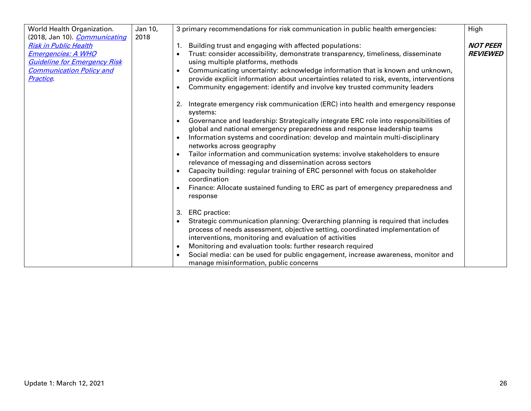| World Health Organization.           | Jan 10, | 3 primary recommendations for risk communication in public health emergencies:                                                                                                | High            |
|--------------------------------------|---------|-------------------------------------------------------------------------------------------------------------------------------------------------------------------------------|-----------------|
| (2018, Jan 10). <i>Communicating</i> | 2018    |                                                                                                                                                                               |                 |
| <b>Risk in Public Health</b>         |         | 1. Building trust and engaging with affected populations:                                                                                                                     | <b>NOT PEER</b> |
| <b>Emergencies: A WHO</b>            |         | Trust: consider accessibility, demonstrate transparency, timeliness, disseminate                                                                                              | <b>REVIEWED</b> |
| <b>Guideline for Emergency Risk</b>  |         | using multiple platforms, methods                                                                                                                                             |                 |
| <b>Communication Policy and</b>      |         | Communicating uncertainty: acknowledge information that is known and unknown,<br>$\bullet$                                                                                    |                 |
| Practice.                            |         | provide explicit information about uncertainties related to risk, events, interventions                                                                                       |                 |
|                                      |         | Community engagement: identify and involve key trusted community leaders<br>$\bullet$                                                                                         |                 |
|                                      |         | Integrate emergency risk communication (ERC) into health and emergency response<br>2.<br>systems:                                                                             |                 |
|                                      |         | Governance and leadership: Strategically integrate ERC role into responsibilities of<br>$\bullet$<br>global and national emergency preparedness and response leadership teams |                 |
|                                      |         | Information systems and coordination: develop and maintain multi-disciplinary                                                                                                 |                 |
|                                      |         | networks across geography                                                                                                                                                     |                 |
|                                      |         | Tailor information and communication systems: involve stakeholders to ensure                                                                                                  |                 |
|                                      |         | relevance of messaging and dissemination across sectors                                                                                                                       |                 |
|                                      |         | Capacity building: regular training of ERC personnel with focus on stakeholder<br>coordination                                                                                |                 |
|                                      |         | Finance: Allocate sustained funding to ERC as part of emergency preparedness and<br>response                                                                                  |                 |
|                                      |         | 3. ERC practice:                                                                                                                                                              |                 |
|                                      |         | Strategic communication planning: Overarching planning is required that includes<br>$\bullet$                                                                                 |                 |
|                                      |         | process of needs assessment, objective setting, coordinated implementation of                                                                                                 |                 |
|                                      |         | interventions, monitoring and evaluation of activities                                                                                                                        |                 |
|                                      |         | Monitoring and evaluation tools: further research required<br>$\bullet$                                                                                                       |                 |
|                                      |         | Social media: can be used for public engagement, increase awareness, monitor and                                                                                              |                 |
|                                      |         | manage misinformation, public concerns                                                                                                                                        |                 |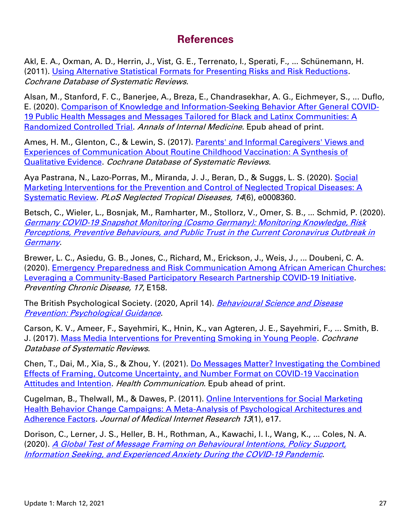### **References**

Akl, E. A., Oxman, A. D., Herrin, J., Vist, G. E., Terrenato, I., Sperati, F., ... Schünemann, H. (2011). [Using Alternative Statistical Formats for Presenting Risks and Risk Reductions.](https://www.cochranelibrary.com/cdsr/doi/10.1002/14651858.CD006776.pub2/full?cookiesEnabled) Cochrane Database of Systematic Reviews.

Alsan, M., Stanford, F. C., Banerjee, A., Breza, E., Chandrasekhar, A. G., Eichmeyer, S., ... Duflo, E. (2020). [Comparison of Knowledge and Information-Seeking Behavior After General COVID-](https://www.ncbi.nlm.nih.gov/pubmed/33347320)[19 Public Health Messages and Messages Tailored for Black and Latinx Communities: A](https://www.ncbi.nlm.nih.gov/pubmed/33347320)  [Randomized Controlled Trial.](https://www.ncbi.nlm.nih.gov/pubmed/33347320) Annals of Internal Medicine. Epub ahead of print.

Ames, H. M., Glenton, C., & Lewin, S. (2017). [Parents' and Informal Caregivers' Views and](https://www.cochranelibrary.com/cdsr/doi/10.1002/14651858.CD011787.pub2/full)  [Experiences of Communication About Routine Childhood Vaccination: A Synthesis of](https://www.cochranelibrary.com/cdsr/doi/10.1002/14651858.CD011787.pub2/full)  [Qualitative Evidence.](https://www.cochranelibrary.com/cdsr/doi/10.1002/14651858.CD011787.pub2/full) Cochrane Database of Systematic Reviews.

Aya Pastrana, N., Lazo-Porras, M., Miranda, J. J., Beran, D., & Suggs, L. S. (2020). [Social](https://journals.plos.org/plosntds/article?id=10.1371/journal.pntd.0008360)  [Marketing Interventions for the Prevention and Control of Neglected Tropical Diseases: A](https://journals.plos.org/plosntds/article?id=10.1371/journal.pntd.0008360)  [Systematic Review.](https://journals.plos.org/plosntds/article?id=10.1371/journal.pntd.0008360) PLoS Neglected Tropical Diseases, 14(6), e0008360.

Betsch, C., Wieler, L., Bosnjak, M., Ramharter, M., Stollorz, V., Omer, S. B., ... Schmid, P. (2020). [Germany COVID-19 Snapshot Monitoring \(Cosmo Germany\): Monitoring Knowledge, Risk](https://www.psycharchives.org/handle/20.500.12034/2386)  [Perceptions, Preventive Behaviours, and Public Trust in the Current Coronavirus Outbreak in](https://www.psycharchives.org/handle/20.500.12034/2386)  **[Germany](https://www.psycharchives.org/handle/20.500.12034/2386)** 

Brewer, L. C., Asiedu, G. B., Jones, C., Richard, M., Erickson, J., Weis, J., ... Doubeni, C. A. (2020). [Emergency Preparedness and Risk Communication Among African American Churches:](https://www.ncbi.nlm.nih.gov/pmc/articles/PMC7769077/)  [Leveraging a Community-Based Participatory Research Partnership COVID-19 Initiative.](https://www.ncbi.nlm.nih.gov/pmc/articles/PMC7769077/) Preventing Chronic Disease, 17, E158.

The British Psychological Society. (2020, April 14). Behavioural Science and Disease **[Prevention: Psychological Guidance](https://www.bps.org.uk/sites/www.bps.org.uk/files/Policy/Policy%20-%20Files/Behavioural%20science%20and%20disease%20prevention%20-%20Psychological%20guidance%20for%20optimising%20policies%20and%20communication.pdf).** 

Carson, K. V., Ameer, F., Sayehmiri, K., Hnin, K., van Agteren, J. E., Sayehmiri, F., ... Smith, B. J. (2017). [Mass Media Interventions for Preventing Smoking in Young People.](https://www.cochranelibrary.com/cdsr/doi/10.1002/14651858.CD001006.pub3/full) Cochrane Database of Systematic Reviews.

Chen, T., Dai, M., Xia, S., & Zhou, Y. (2021). [Do Messages Matter? Investigating the Combined](https://pubmed.ncbi.nlm.nih.gov/33499677/)  [Effects of Framing, Outcome Uncertainty, and Number Format on COVID-19 Vaccination](https://pubmed.ncbi.nlm.nih.gov/33499677/)  [Attitudes and Intention.](https://pubmed.ncbi.nlm.nih.gov/33499677/) Health Communication. Epub ahead of print.

Cugelman, B., Thelwall, M., & Dawes, P. (2011). [Online Interventions for Social Marketing](https://www.jmir.org/2011/1/e17/)  [Health Behavior Change Campaigns: A Meta-Analysis of Psychological Architectures and](https://www.jmir.org/2011/1/e17/)  [Adherence Factors.](https://www.jmir.org/2011/1/e17/) Journal of Medical Internet Research 13(1), e17.

Dorison, C., Lerner, J. S., Heller, B. H., Rothman, A., Kawachi, I. I., Wang, K., ... Coles, N. A. (2020). [A Global Test of Message Framing on Behavioural Intentions, Policy Support,](https://psyarxiv.com/sevkf/)  [Information Seeking, and Experienced Anxiety During the COVID-19 Pandemic](https://psyarxiv.com/sevkf/).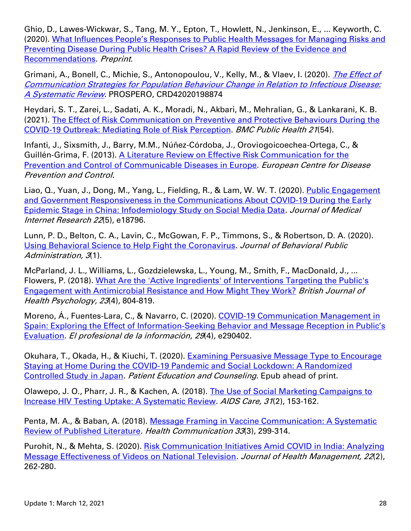Ghio, D., Lawes-Wickwar, S., Tang, M. Y., Epton, T., Howlett, N., Jenkinson, E., ... Keyworth, C. (2020). [What Influences People's Responses to Public Health Messages for Managing Risks and](https://psyarxiv.com/nz7tr/)  [Preventing Disease During Public Health Crises? A Rapid Review of the Evidence and](https://psyarxiv.com/nz7tr/)  [Recommendations.](https://psyarxiv.com/nz7tr/) Preprint.

Grimani, A., Bonell, C., Michie, S., Antonopoulou, V., Kelly, M., & Vlaev, I. (2020). The Effect of [Communication Strategies for Population Behaviour Change in Relation to Infectious Disease:](https://www.crd.york.ac.uk/prospero/display_record.php?RecordID=198874)  [A Systematic Review](https://www.crd.york.ac.uk/prospero/display_record.php?RecordID=198874). PROSPERO, CRD42020198874

Heydari, S. T., Zarei, L., Sadati, A. K., Moradi, N., Akbari, M., Mehralian, G., & Lankarani, K. B. (2021). [The Effect of Risk Communication on Preventive and Protective Behaviours During the](https://bmcpublichealth.biomedcentral.com/articles/10.1186/s12889-020-10125-5)  [COVID-19 Outbreak: Mediating Role of Risk Perception.](https://bmcpublichealth.biomedcentral.com/articles/10.1186/s12889-020-10125-5) BMC Public Health 21(54).

Infanti, J., Sixsmith, J., Barry, M.M., Núñez-Córdoba, J., Oroviogoicoechea-Ortega, C., & Guillén-Grima, F. (2013). [A Literature Review on Effective Risk Communication for the](https://www.ecdc.europa.eu/sites/default/files/media/en/publications/Publications/risk-communication-literary-review-jan-2013.pdf)  [Prevention and Control of Communicable Diseases in Europe.](https://www.ecdc.europa.eu/sites/default/files/media/en/publications/Publications/risk-communication-literary-review-jan-2013.pdf) European Centre for Disease Prevention and Control.

Liao, Q., Yuan, J., Dong, M., Yang, L., Fielding, R., & Lam, W. W. T. (2020). Public Engagement [and Government Responsiveness in the Communications About COVID-19 During the Early](https://www.jmir.org/2020/5/e18796/)  [Epidemic Stage in China: Infodemiology Study on Social Media Data.](https://www.jmir.org/2020/5/e18796/) Journal of Medical Internet Research 22(5), e18796.

Lunn, P. D., Belton, C. A., Lavin, C., McGowan, F. P., Timmons, S., & Robertson, D. A. (2020). [Using Behavioral Science to Help Fight the Coronavirus.](http://www.journal-bpa.org/index.php/jbpa/article/view/147) Journal of Behavioral Public Administration, 3(1).

McParland, J. L., Williams, L., Gozdzielewska, L., Young, M., Smith, F., MacDonald, J., ... Flowers, P. (2018). [What Are the 'Active Ingredients' of Interventions Targeting the Public's](https://onlinelibrary.wiley.com/doi/full/10.1111/bjhp.12317)  [Engagement with Antimicrobial Resistance and How Might They Work?](https://onlinelibrary.wiley.com/doi/full/10.1111/bjhp.12317) British Journal of Health Psychology, <sup>23</sup>(4), 804-819.

Moreno, A., Fuentes-Lara, C., & Navarro, C. (2020). COVID-19 Communication Management in Spain: Exploring the Effect of Information-[Seeking Behavior and Message Reception in Public's](https://euprera.org/wp-content/uploads/2020/06/Com-Covid_rep1_Moreno_Fuentes_Navarro.pdf)  [Evaluation.](https://euprera.org/wp-content/uploads/2020/06/Com-Covid_rep1_Moreno_Fuentes_Navarro.pdf) El profesional de la información, 29(4), e290402.

Okuhara, T., Okada, H., & Kiuchi, T. (2020). [Examining Persuasive Message Type to Encourage](https://www.ncbi.nlm.nih.gov/pubmed/32863098)  [Staying at Home During the COVID-19 Pandemic and Social Lockdown: A Randomized](https://www.ncbi.nlm.nih.gov/pubmed/32863098)  [Controlled Study in Japan.](https://www.ncbi.nlm.nih.gov/pubmed/32863098) Patient Education and Counseling. Epub ahead of print.

Olawepo, J. O., Pharr, J. R., & Kachen, A. (2018). [The Use of Social Marketing Campaigns to](https://www.tandfonline.com/doi/abs/10.1080/09540121.2018.1533631?journalCode=caic20)  [Increase HIV Testing Uptake: A Systematic Review.](https://www.tandfonline.com/doi/abs/10.1080/09540121.2018.1533631?journalCode=caic20) AIDS Care, 31(2), 153-162.

Penta, M. A., & Baban, A. (2018). [Message Framing in Vaccine Communication: A Systematic](https://www.tandfonline.com/doi/full/10.1080/10410236.2016.1266574)  [Review of Published Literature.](https://www.tandfonline.com/doi/full/10.1080/10410236.2016.1266574) Health Communication 33(3), 299-314.

Purohit, N., & Mehta, S. (2020). [Risk Communication Initiatives Amid COVID](https://journals.sagepub.com/doi/10.1177/0972063420935659) in India: Analyzing [Message Effectiveness of Videos on National Television.](https://journals.sagepub.com/doi/10.1177/0972063420935659) Journal of Health Management, 22(2), 262-280.